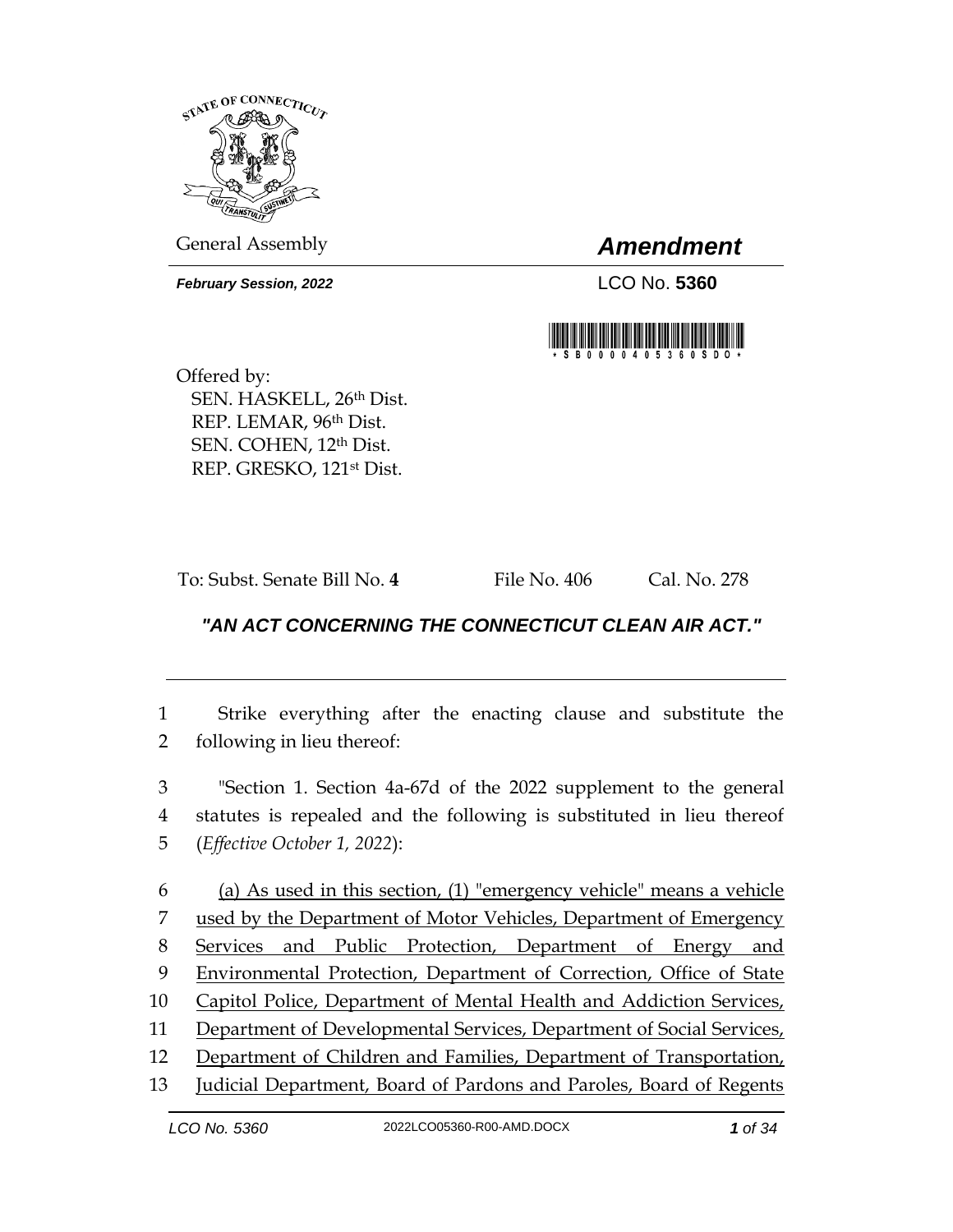

General Assembly *Amendment*

*February Session, 2022* LCO No. **5360**



Offered by: SEN. HASKELL, 26th Dist. REP. LEMAR, 96th Dist. SEN. COHEN, 12th Dist. REP. GRESKO, 121st Dist.

To: Subst. Senate Bill No. **4** File No. 406 Cal. No. 278

## *"AN ACT CONCERNING THE CONNECTICUT CLEAN AIR ACT."*

1 Strike everything after the enacting clause and substitute the 2 following in lieu thereof:

3 "Section 1. Section 4a-67d of the 2022 supplement to the general 4 statutes is repealed and the following is substituted in lieu thereof 5 (*Effective October 1, 2022*):

 (a) As used in this section, (1) "emergency vehicle" means a vehicle used by the Department of Motor Vehicles, Department of Emergency Services and Public Protection, Department of Energy and Environmental Protection, Department of Correction, Office of State 10 Capitol Police, Department of Mental Health and Addiction Services, Department of Developmental Services, Department of Social Services, Department of Children and Families, Department of Transportation,

13 Judicial Department, Board of Pardons and Paroles, Board of Regents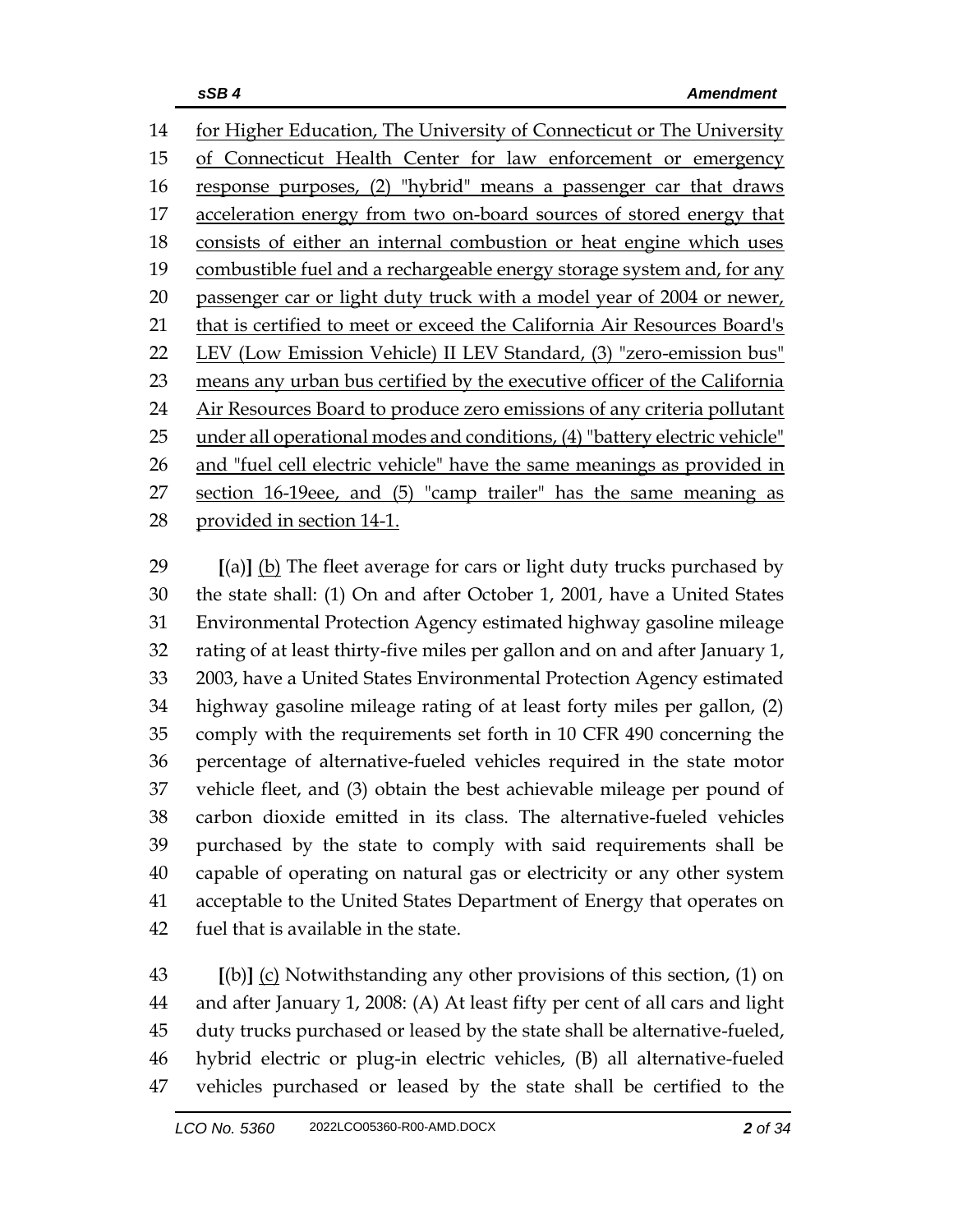for Higher Education, The University of Connecticut or The University of Connecticut Health Center for law enforcement or emergency response purposes, (2) "hybrid" means a passenger car that draws acceleration energy from two on-board sources of stored energy that consists of either an internal combustion or heat engine which uses 19 combustible fuel and a rechargeable energy storage system and, for any 20 passenger car or light duty truck with a model year of 2004 or newer, that is certified to meet or exceed the California Air Resources Board's LEV (Low Emission Vehicle) II LEV Standard, (3) "zero-emission bus" 23 means any urban bus certified by the executive officer of the California 24 Air Resources Board to produce zero emissions of any criteria pollutant 25 under all operational modes and conditions, (4) "battery electric vehicle" 26 and "fuel cell electric vehicle" have the same meanings as provided in section 16-19eee, and (5) "camp trailer" has the same meaning as provided in section 14-1.

 **[**(a)**]** (b) The fleet average for cars or light duty trucks purchased by the state shall: (1) On and after October 1, 2001, have a United States Environmental Protection Agency estimated highway gasoline mileage rating of at least thirty-five miles per gallon and on and after January 1, 2003, have a United States Environmental Protection Agency estimated highway gasoline mileage rating of at least forty miles per gallon, (2) comply with the requirements set forth in 10 CFR 490 concerning the percentage of alternative-fueled vehicles required in the state motor vehicle fleet, and (3) obtain the best achievable mileage per pound of carbon dioxide emitted in its class. The alternative-fueled vehicles purchased by the state to comply with said requirements shall be capable of operating on natural gas or electricity or any other system acceptable to the United States Department of Energy that operates on fuel that is available in the state.

 **[**(b)**]** (c) Notwithstanding any other provisions of this section, (1) on and after January 1, 2008: (A) At least fifty per cent of all cars and light duty trucks purchased or leased by the state shall be alternative-fueled, hybrid electric or plug-in electric vehicles, (B) all alternative-fueled vehicles purchased or leased by the state shall be certified to the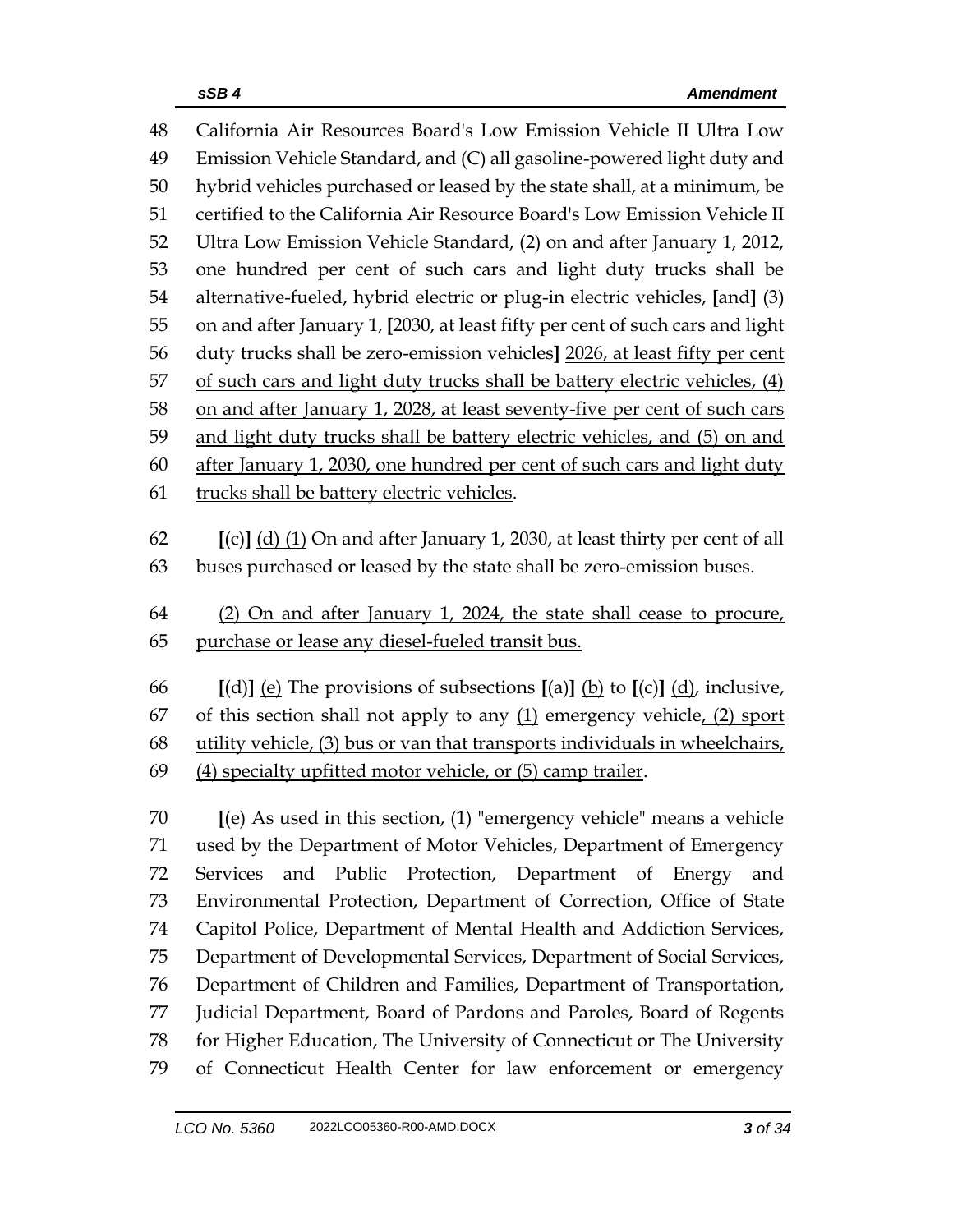| 48 | California Air Resources Board's Low Emission Vehicle II Ultra Low                                                                           |
|----|----------------------------------------------------------------------------------------------------------------------------------------------|
| 49 | Emission Vehicle Standard, and (C) all gasoline-powered light duty and                                                                       |
| 50 | hybrid vehicles purchased or leased by the state shall, at a minimum, be                                                                     |
| 51 | certified to the California Air Resource Board's Low Emission Vehicle II                                                                     |
| 52 | Ultra Low Emission Vehicle Standard, (2) on and after January 1, 2012,                                                                       |
| 53 | one hundred per cent of such cars and light duty trucks shall be                                                                             |
| 54 | alternative-fueled, hybrid electric or plug-in electric vehicles, [and] (3)                                                                  |
| 55 | on and after January 1, [2030, at least fifty per cent of such cars and light                                                                |
| 56 | duty trucks shall be zero-emission vehicles] 2026, at least fifty per cent                                                                   |
| 57 | of such cars and light duty trucks shall be battery electric vehicles, (4)                                                                   |
| 58 | on and after January 1, 2028, at least seventy-five per cent of such cars                                                                    |
| 59 | and light duty trucks shall be battery electric vehicles, and (5) on and                                                                     |
| 60 | after January 1, 2030, one hundred per cent of such cars and light duty                                                                      |
| 61 | trucks shall be battery electric vehicles.                                                                                                   |
|    |                                                                                                                                              |
| 62 | $[(c)]$ (d) (1) On and after January 1, 2030, at least thirty per cent of all                                                                |
| 63 | buses purchased or leased by the state shall be zero-emission buses.                                                                         |
| 64 | (2) On and after January 1, 2024, the state shall cease to procure,                                                                          |
| 65 | purchase or lease any diesel-fueled transit bus.                                                                                             |
|    |                                                                                                                                              |
| 66 | [(d)] <u>(e)</u> The provisions of subsections [(a)] <u>(b)</u> to [(c)] $\underline{d}$ <i>)</i> , inclusive,                               |
| 67 | of this section shall not apply to any $(1)$ emergency vehicle, $(2)$ sport                                                                  |
| 68 | utility vehicle, (3) bus or van that transports individuals in wheelchairs,                                                                  |
| 69 | (4) specialty upfitted motor vehicle, or (5) camp trailer.                                                                                   |
| 70 | $[$ (e) As used in this section, $(1)$ "emergency vehicle" means a vehicle                                                                   |
| 71 | used by the Department of Motor Vehicles, Department of Emergency                                                                            |
| 72 | and Public Protection, Department of Energy<br><b>Services</b><br>and                                                                        |
| 73 | Environmental Protection, Department of Correction, Office of State                                                                          |
| 74 | Capitol Police, Department of Mental Health and Addiction Services,                                                                          |
| 75 | Department of Developmental Services, Department of Social Services,                                                                         |
| 76 | Department of Children and Families, Department of Transportation,                                                                           |
| 77 |                                                                                                                                              |
|    |                                                                                                                                              |
| 78 | Judicial Department, Board of Pardons and Paroles, Board of Regents<br>for Higher Education, The University of Connecticut or The University |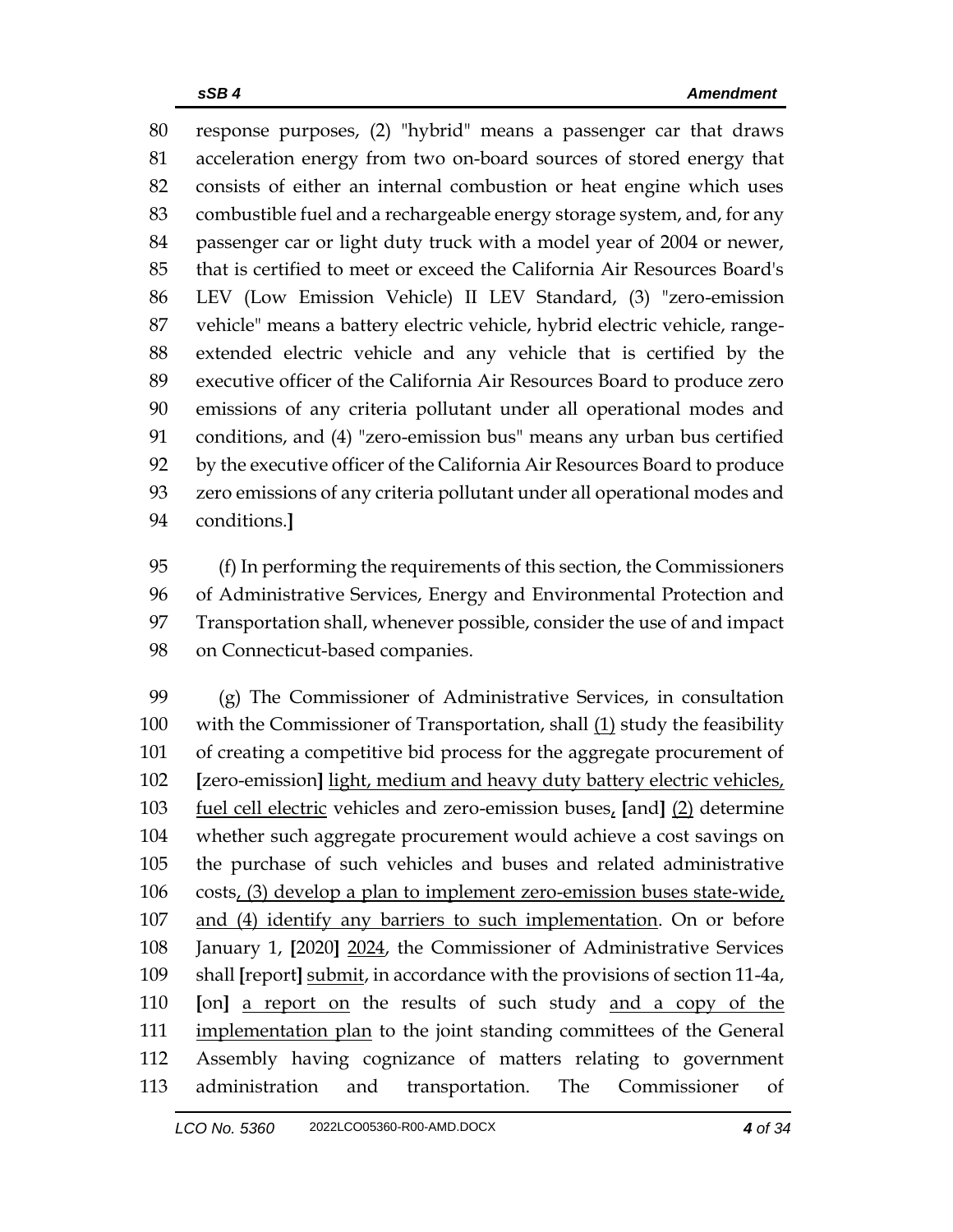response purposes, (2) "hybrid" means a passenger car that draws acceleration energy from two on-board sources of stored energy that consists of either an internal combustion or heat engine which uses combustible fuel and a rechargeable energy storage system, and, for any passenger car or light duty truck with a model year of 2004 or newer, that is certified to meet or exceed the California Air Resources Board's LEV (Low Emission Vehicle) II LEV Standard, (3) "zero-emission vehicle" means a battery electric vehicle, hybrid electric vehicle, range- extended electric vehicle and any vehicle that is certified by the executive officer of the California Air Resources Board to produce zero emissions of any criteria pollutant under all operational modes and conditions, and (4) "zero-emission bus" means any urban bus certified by the executive officer of the California Air Resources Board to produce zero emissions of any criteria pollutant under all operational modes and conditions.**]**

 (f) In performing the requirements of this section, the Commissioners of Administrative Services, Energy and Environmental Protection and Transportation shall, whenever possible, consider the use of and impact on Connecticut-based companies.

 (g) The Commissioner of Administrative Services, in consultation 100 with the Commissioner of Transportation, shall  $(1)$  study the feasibility of creating a competitive bid process for the aggregate procurement of **[**zero-emission**]** light, medium and heavy duty battery electric vehicles, fuel cell electric vehicles and zero-emission buses, **[**and**]** (2) determine whether such aggregate procurement would achieve a cost savings on the purchase of such vehicles and buses and related administrative costs, (3) develop a plan to implement zero-emission buses state-wide, and (4) identify any barriers to such implementation. On or before January 1, **[**2020**]** 2024, the Commissioner of Administrative Services shall **[**report**]** submit, in accordance with the provisions of section 11-4a, **[**on**]** a report on the results of such study and a copy of the 111 implementation plan to the joint standing committees of the General Assembly having cognizance of matters relating to government administration and transportation. The Commissioner of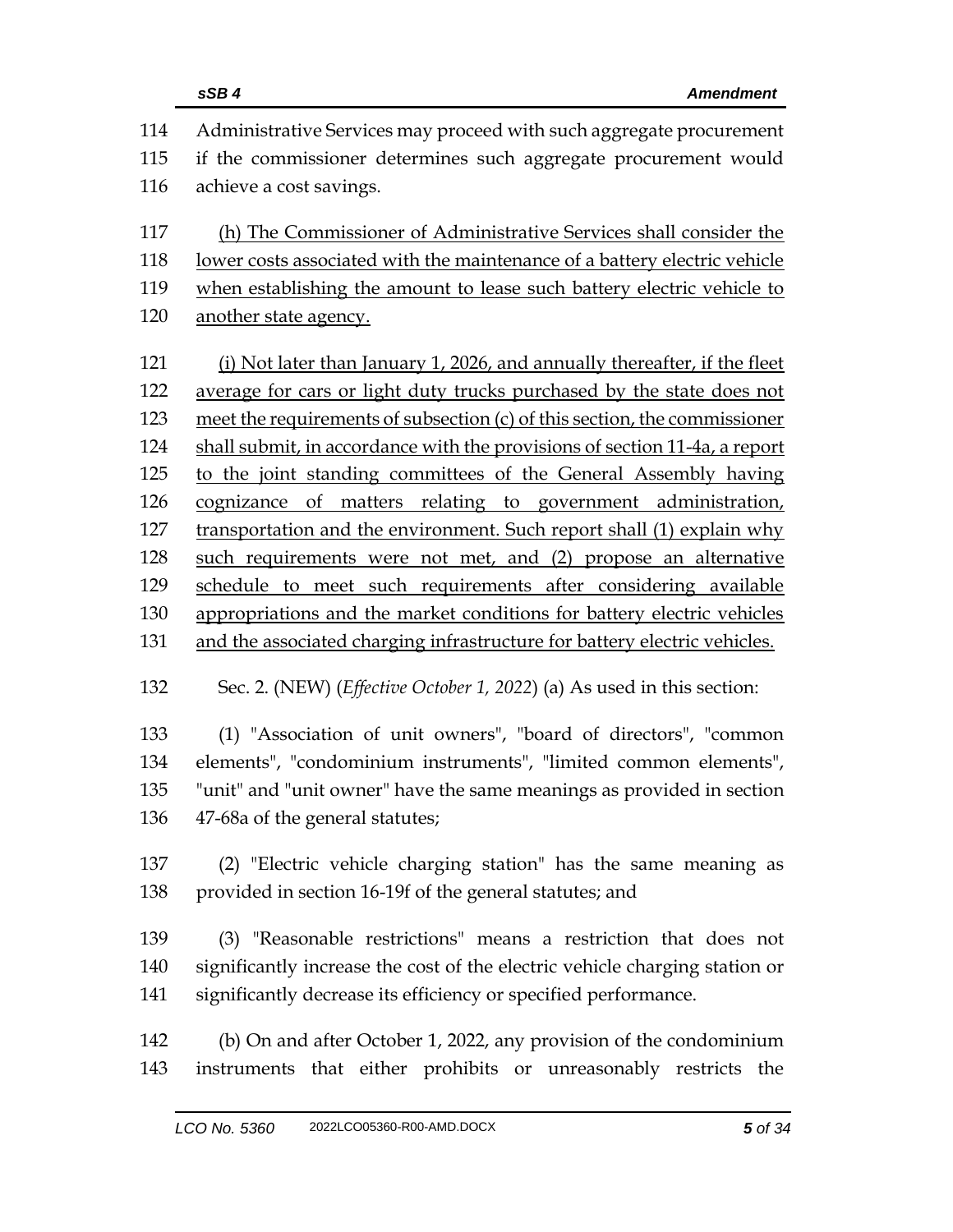|     | sSB4<br><b>Amendment</b>                                                        |  |  |
|-----|---------------------------------------------------------------------------------|--|--|
| 114 | Administrative Services may proceed with such aggregate procurement             |  |  |
| 115 | if the commissioner determines such aggregate procurement would                 |  |  |
| 116 | achieve a cost savings.                                                         |  |  |
| 117 | (h) The Commissioner of Administrative Services shall consider the              |  |  |
| 118 | lower costs associated with the maintenance of a battery electric vehicle       |  |  |
| 119 | when establishing the amount to lease such battery electric vehicle to          |  |  |
| 120 | another state agency.                                                           |  |  |
| 121 | (i) Not later than January 1, 2026, and annually thereafter, if the fleet       |  |  |
| 122 | average for cars or light duty trucks purchased by the state does not           |  |  |
| 123 | meet the requirements of subsection (c) of this section, the commissioner       |  |  |
| 124 | shall submit, in accordance with the provisions of section 11-4a, a report      |  |  |
| 125 | to the joint standing committees of the General Assembly having                 |  |  |
| 126 | cognizance of matters relating to government administration,                    |  |  |
| 127 | transportation and the environment. Such report shall (1) explain why           |  |  |
| 128 | such requirements were not met, and (2) propose an alternative                  |  |  |
| 129 | schedule to meet such requirements after considering available                  |  |  |
| 130 | appropriations and the market conditions for battery electric vehicles          |  |  |
| 131 | and the associated charging infrastructure for battery electric vehicles.       |  |  |
| 132 | Sec. 2. (NEW) ( <i>Effective October 1, 2022</i> ) (a) As used in this section: |  |  |
| 133 | (1) "Association of unit owners", "board of directors", "common                 |  |  |
| 134 | elements", "condominium instruments", "limited common elements",                |  |  |
| 135 | "unit" and "unit owner" have the same meanings as provided in section           |  |  |
| 136 | 47-68a of the general statutes;                                                 |  |  |
| 137 | (2) "Electric vehicle charging station" has the same meaning as                 |  |  |
| 138 | provided in section 16-19f of the general statutes; and                         |  |  |
| 139 | (3) "Reasonable restrictions" means a restriction that does not                 |  |  |
| 140 | significantly increase the cost of the electric vehicle charging station or     |  |  |
| 141 | significantly decrease its efficiency or specified performance.                 |  |  |
| 142 | (b) On and after October 1, 2022, any provision of the condominium              |  |  |
| 143 | instruments that either prohibits or unreasonably restricts the                 |  |  |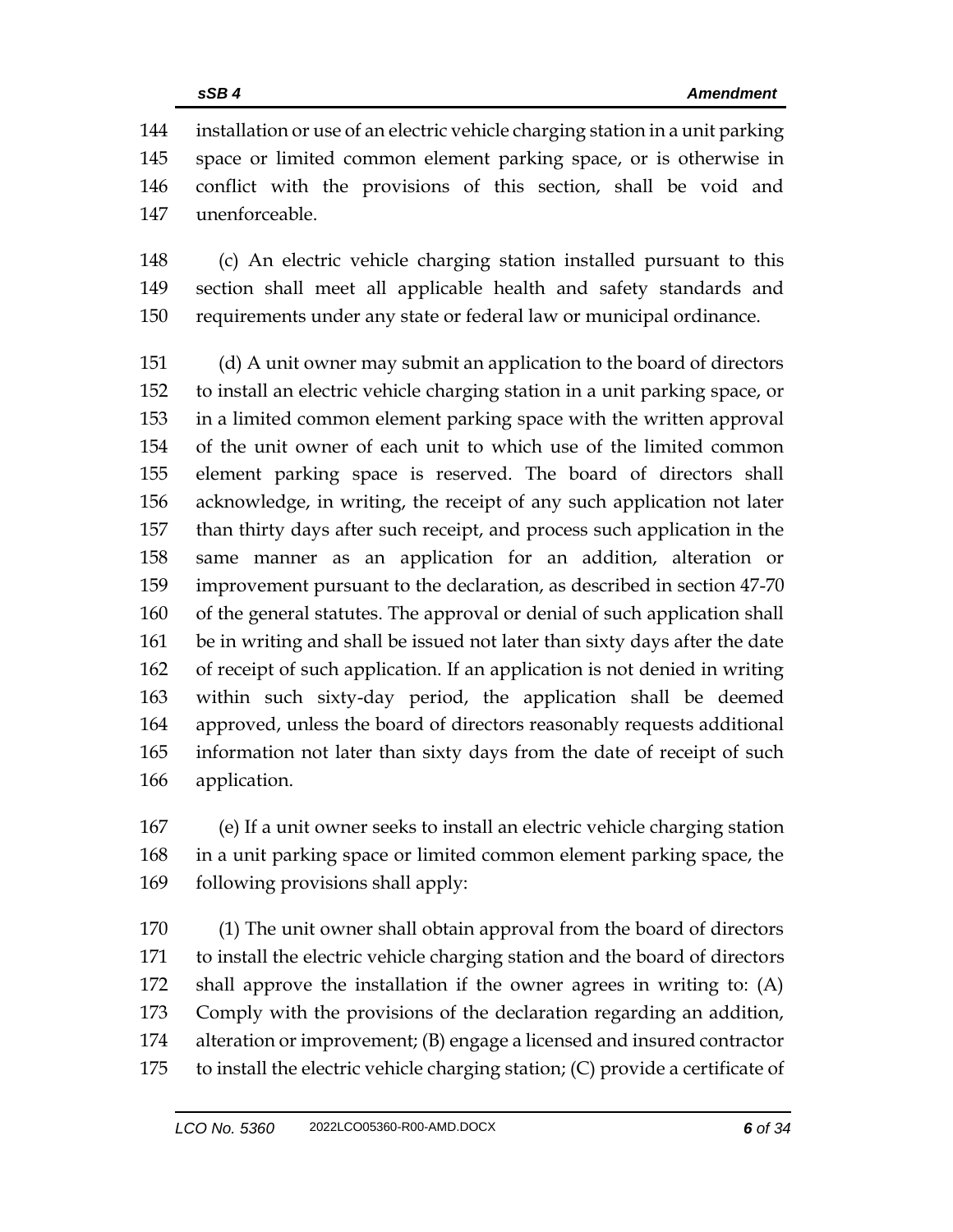installation or use of an electric vehicle charging station in a unit parking space or limited common element parking space, or is otherwise in conflict with the provisions of this section, shall be void and unenforceable.

 (c) An electric vehicle charging station installed pursuant to this section shall meet all applicable health and safety standards and requirements under any state or federal law or municipal ordinance.

 (d) A unit owner may submit an application to the board of directors to install an electric vehicle charging station in a unit parking space, or in a limited common element parking space with the written approval of the unit owner of each unit to which use of the limited common element parking space is reserved. The board of directors shall acknowledge, in writing, the receipt of any such application not later than thirty days after such receipt, and process such application in the same manner as an application for an addition, alteration or improvement pursuant to the declaration, as described in section 47-70 of the general statutes. The approval or denial of such application shall be in writing and shall be issued not later than sixty days after the date of receipt of such application. If an application is not denied in writing within such sixty-day period, the application shall be deemed approved, unless the board of directors reasonably requests additional information not later than sixty days from the date of receipt of such application.

 (e) If a unit owner seeks to install an electric vehicle charging station in a unit parking space or limited common element parking space, the following provisions shall apply:

 (1) The unit owner shall obtain approval from the board of directors to install the electric vehicle charging station and the board of directors shall approve the installation if the owner agrees in writing to: (A) Comply with the provisions of the declaration regarding an addition, alteration or improvement; (B) engage a licensed and insured contractor to install the electric vehicle charging station; (C) provide a certificate of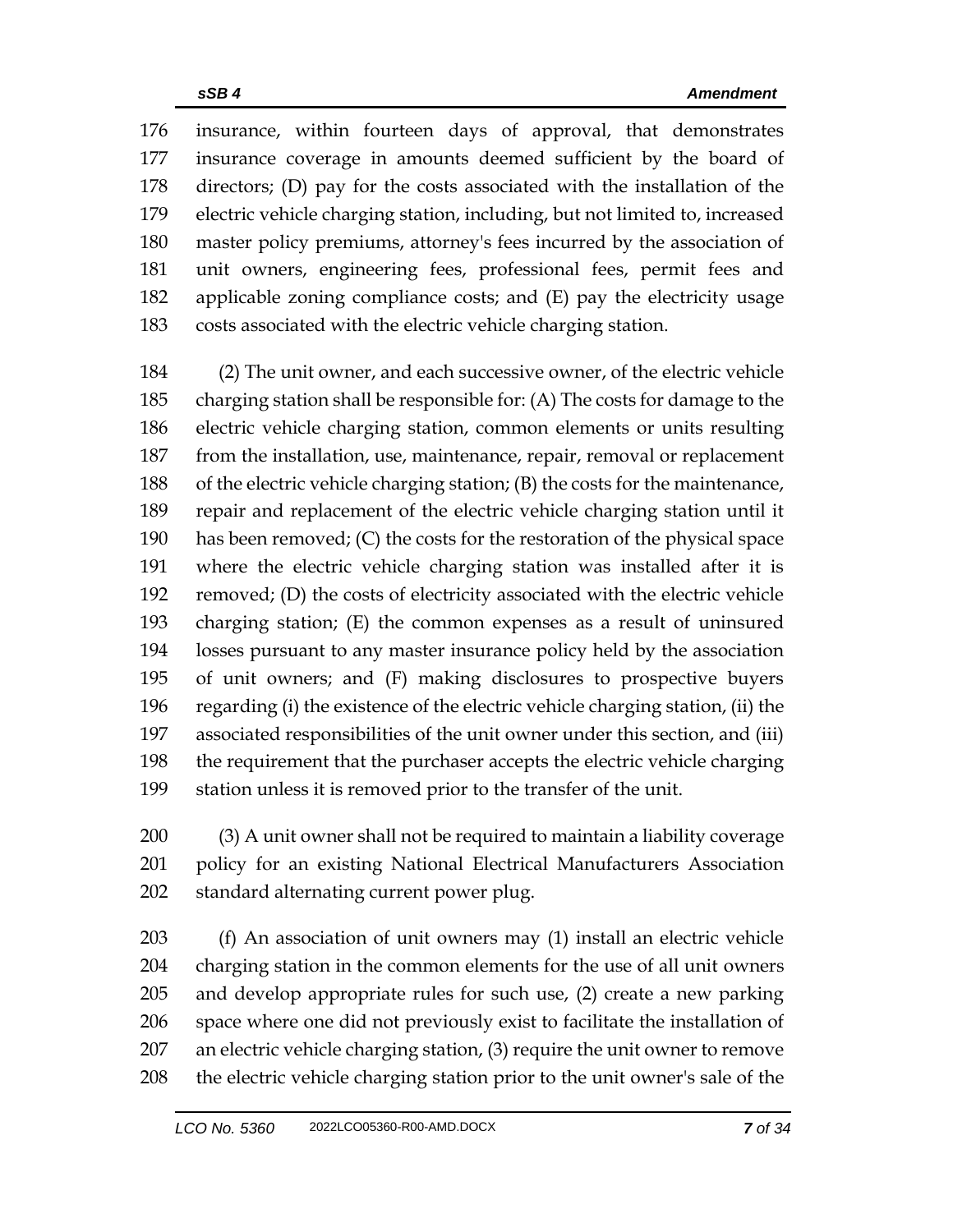insurance, within fourteen days of approval, that demonstrates insurance coverage in amounts deemed sufficient by the board of directors; (D) pay for the costs associated with the installation of the electric vehicle charging station, including, but not limited to, increased master policy premiums, attorney's fees incurred by the association of unit owners, engineering fees, professional fees, permit fees and applicable zoning compliance costs; and (E) pay the electricity usage costs associated with the electric vehicle charging station.

 (2) The unit owner, and each successive owner, of the electric vehicle charging station shall be responsible for: (A) The costs for damage to the electric vehicle charging station, common elements or units resulting from the installation, use, maintenance, repair, removal or replacement of the electric vehicle charging station; (B) the costs for the maintenance, repair and replacement of the electric vehicle charging station until it has been removed; (C) the costs for the restoration of the physical space where the electric vehicle charging station was installed after it is removed; (D) the costs of electricity associated with the electric vehicle charging station; (E) the common expenses as a result of uninsured losses pursuant to any master insurance policy held by the association of unit owners; and (F) making disclosures to prospective buyers regarding (i) the existence of the electric vehicle charging station, (ii) the associated responsibilities of the unit owner under this section, and (iii) the requirement that the purchaser accepts the electric vehicle charging station unless it is removed prior to the transfer of the unit.

 (3) A unit owner shall not be required to maintain a liability coverage policy for an existing National Electrical Manufacturers Association standard alternating current power plug.

 (f) An association of unit owners may (1) install an electric vehicle charging station in the common elements for the use of all unit owners and develop appropriate rules for such use, (2) create a new parking space where one did not previously exist to facilitate the installation of an electric vehicle charging station, (3) require the unit owner to remove the electric vehicle charging station prior to the unit owner's sale of the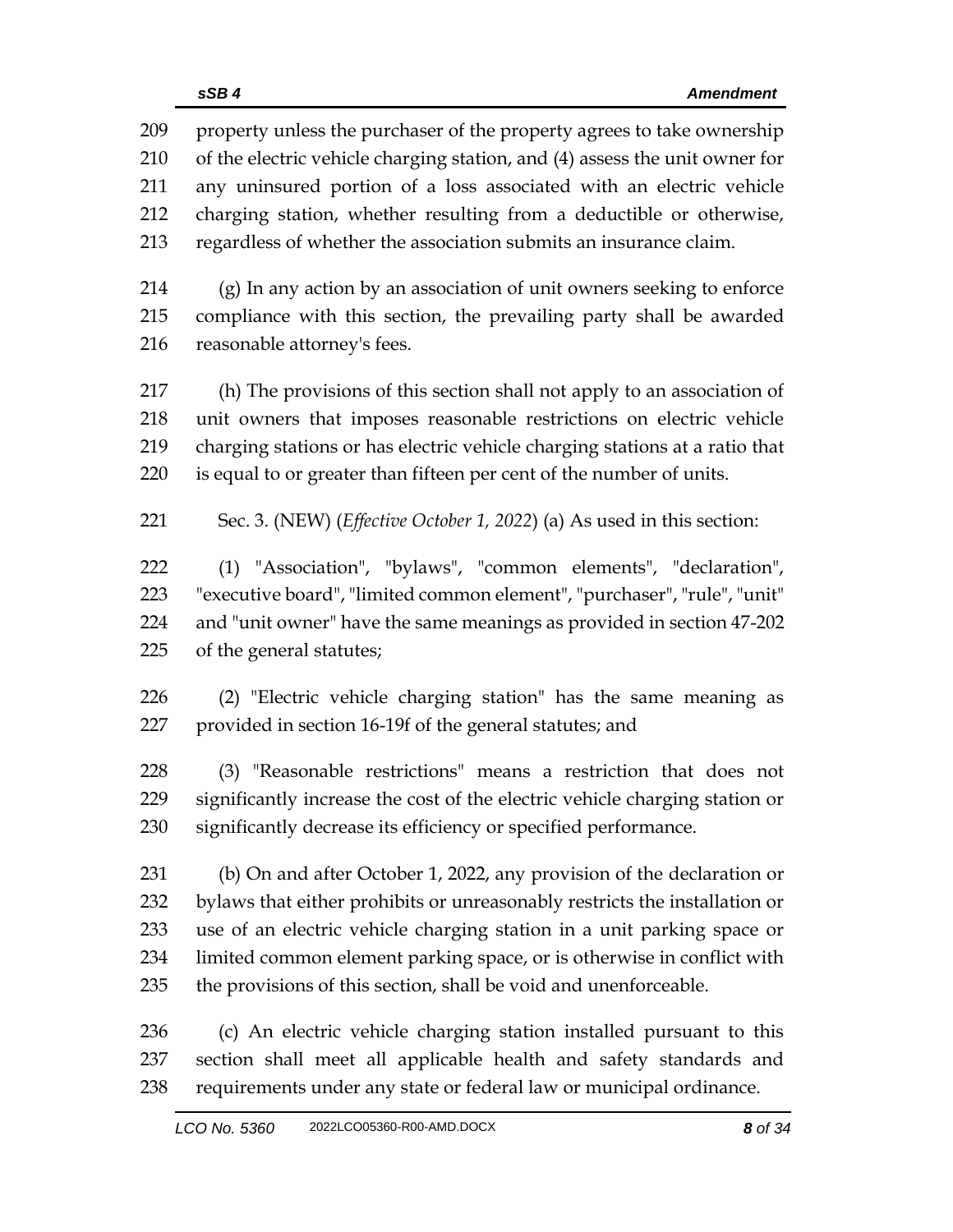property unless the purchaser of the property agrees to take ownership of the electric vehicle charging station, and (4) assess the unit owner for any uninsured portion of a loss associated with an electric vehicle charging station, whether resulting from a deductible or otherwise, regardless of whether the association submits an insurance claim.

 (g) In any action by an association of unit owners seeking to enforce compliance with this section, the prevailing party shall be awarded reasonable attorney's fees.

 (h) The provisions of this section shall not apply to an association of unit owners that imposes reasonable restrictions on electric vehicle charging stations or has electric vehicle charging stations at a ratio that is equal to or greater than fifteen per cent of the number of units.

Sec. 3. (NEW) (*Effective October 1, 2022*) (a) As used in this section:

 (1) "Association", "bylaws", "common elements", "declaration", "executive board", "limited common element", "purchaser", "rule", "unit" and "unit owner" have the same meanings as provided in section 47-202 of the general statutes;

 (2) "Electric vehicle charging station" has the same meaning as provided in section 16-19f of the general statutes; and

 (3) "Reasonable restrictions" means a restriction that does not significantly increase the cost of the electric vehicle charging station or significantly decrease its efficiency or specified performance.

 (b) On and after October 1, 2022, any provision of the declaration or bylaws that either prohibits or unreasonably restricts the installation or use of an electric vehicle charging station in a unit parking space or limited common element parking space, or is otherwise in conflict with the provisions of this section, shall be void and unenforceable.

 (c) An electric vehicle charging station installed pursuant to this section shall meet all applicable health and safety standards and requirements under any state or federal law or municipal ordinance.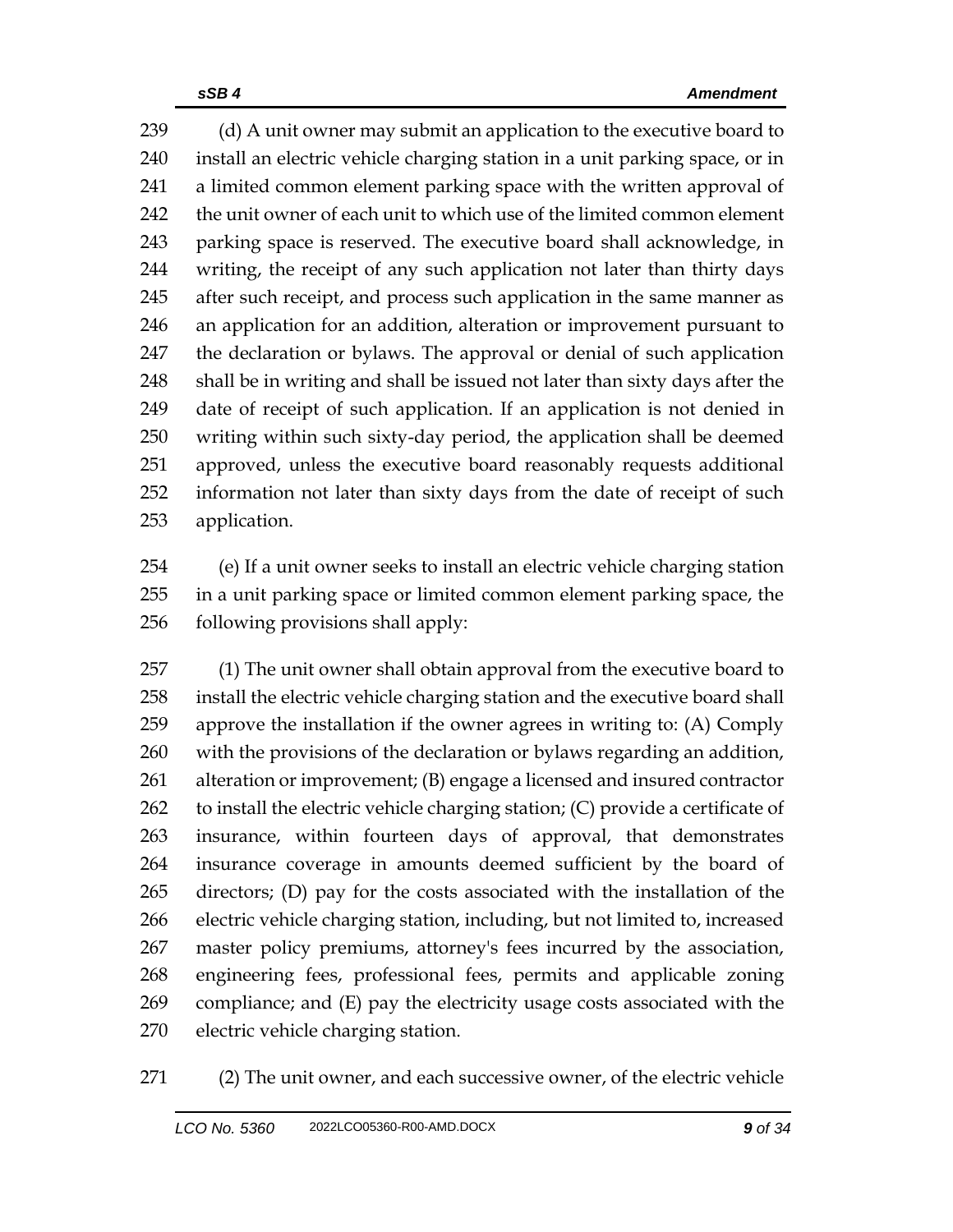239 (d) A unit owner may submit an application to the executive board to install an electric vehicle charging station in a unit parking space, or in a limited common element parking space with the written approval of the unit owner of each unit to which use of the limited common element parking space is reserved. The executive board shall acknowledge, in writing, the receipt of any such application not later than thirty days 245 after such receipt, and process such application in the same manner as an application for an addition, alteration or improvement pursuant to the declaration or bylaws. The approval or denial of such application shall be in writing and shall be issued not later than sixty days after the date of receipt of such application. If an application is not denied in writing within such sixty-day period, the application shall be deemed approved, unless the executive board reasonably requests additional information not later than sixty days from the date of receipt of such application.

 (e) If a unit owner seeks to install an electric vehicle charging station in a unit parking space or limited common element parking space, the following provisions shall apply:

 (1) The unit owner shall obtain approval from the executive board to install the electric vehicle charging station and the executive board shall approve the installation if the owner agrees in writing to: (A) Comply with the provisions of the declaration or bylaws regarding an addition, alteration or improvement; (B) engage a licensed and insured contractor to install the electric vehicle charging station; (C) provide a certificate of insurance, within fourteen days of approval, that demonstrates insurance coverage in amounts deemed sufficient by the board of directors; (D) pay for the costs associated with the installation of the electric vehicle charging station, including, but not limited to, increased master policy premiums, attorney's fees incurred by the association, engineering fees, professional fees, permits and applicable zoning compliance; and (E) pay the electricity usage costs associated with the electric vehicle charging station.

(2) The unit owner, and each successive owner, of the electric vehicle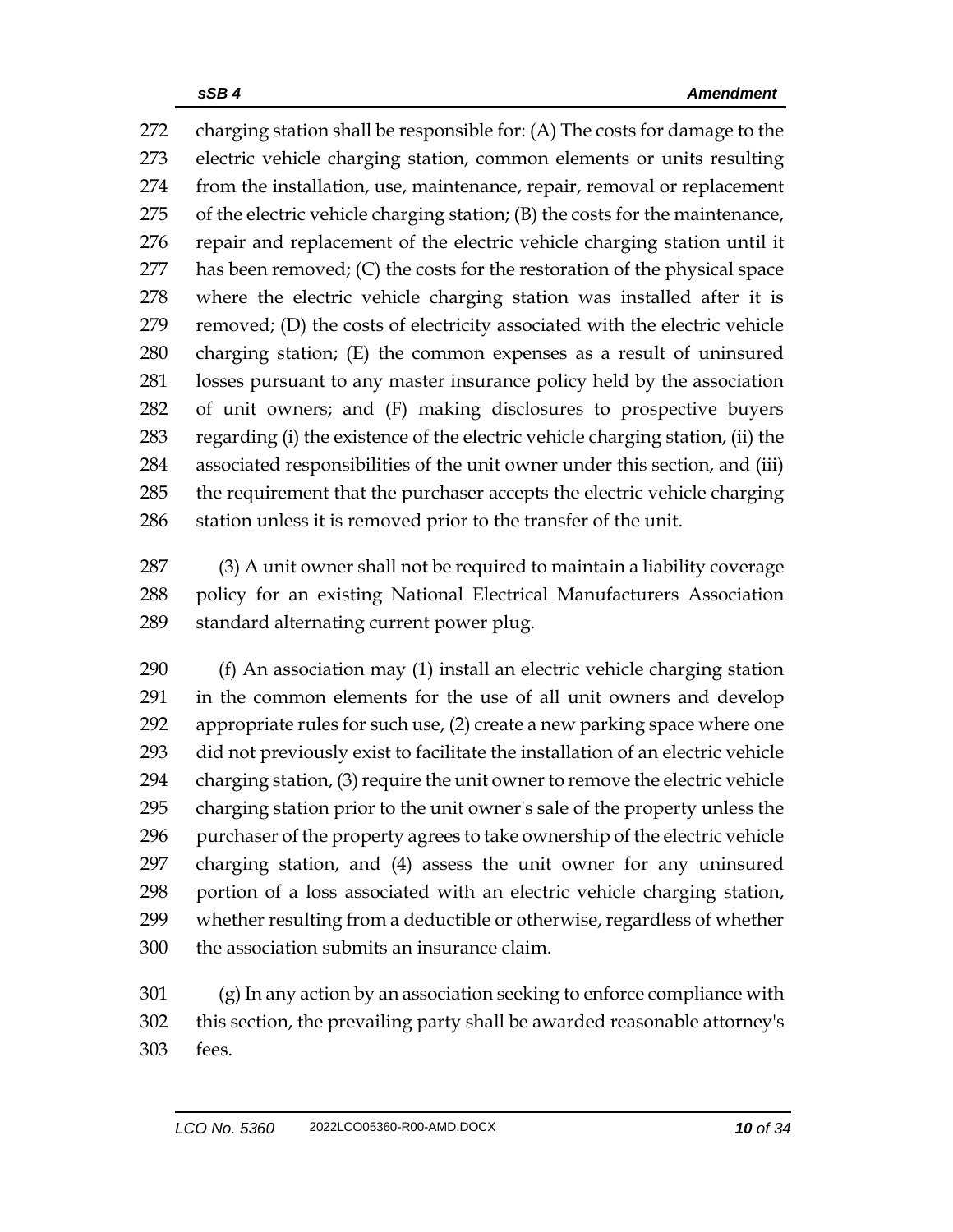charging station shall be responsible for: (A) The costs for damage to the electric vehicle charging station, common elements or units resulting from the installation, use, maintenance, repair, removal or replacement of the electric vehicle charging station; (B) the costs for the maintenance, repair and replacement of the electric vehicle charging station until it has been removed; (C) the costs for the restoration of the physical space where the electric vehicle charging station was installed after it is removed; (D) the costs of electricity associated with the electric vehicle charging station; (E) the common expenses as a result of uninsured losses pursuant to any master insurance policy held by the association of unit owners; and (F) making disclosures to prospective buyers regarding (i) the existence of the electric vehicle charging station, (ii) the associated responsibilities of the unit owner under this section, and (iii) the requirement that the purchaser accepts the electric vehicle charging station unless it is removed prior to the transfer of the unit.

 (3) A unit owner shall not be required to maintain a liability coverage policy for an existing National Electrical Manufacturers Association standard alternating current power plug.

 (f) An association may (1) install an electric vehicle charging station in the common elements for the use of all unit owners and develop appropriate rules for such use, (2) create a new parking space where one did not previously exist to facilitate the installation of an electric vehicle charging station, (3) require the unit owner to remove the electric vehicle charging station prior to the unit owner's sale of the property unless the purchaser of the property agrees to take ownership of the electric vehicle charging station, and (4) assess the unit owner for any uninsured portion of a loss associated with an electric vehicle charging station, whether resulting from a deductible or otherwise, regardless of whether the association submits an insurance claim.

 (g) In any action by an association seeking to enforce compliance with this section, the prevailing party shall be awarded reasonable attorney's fees.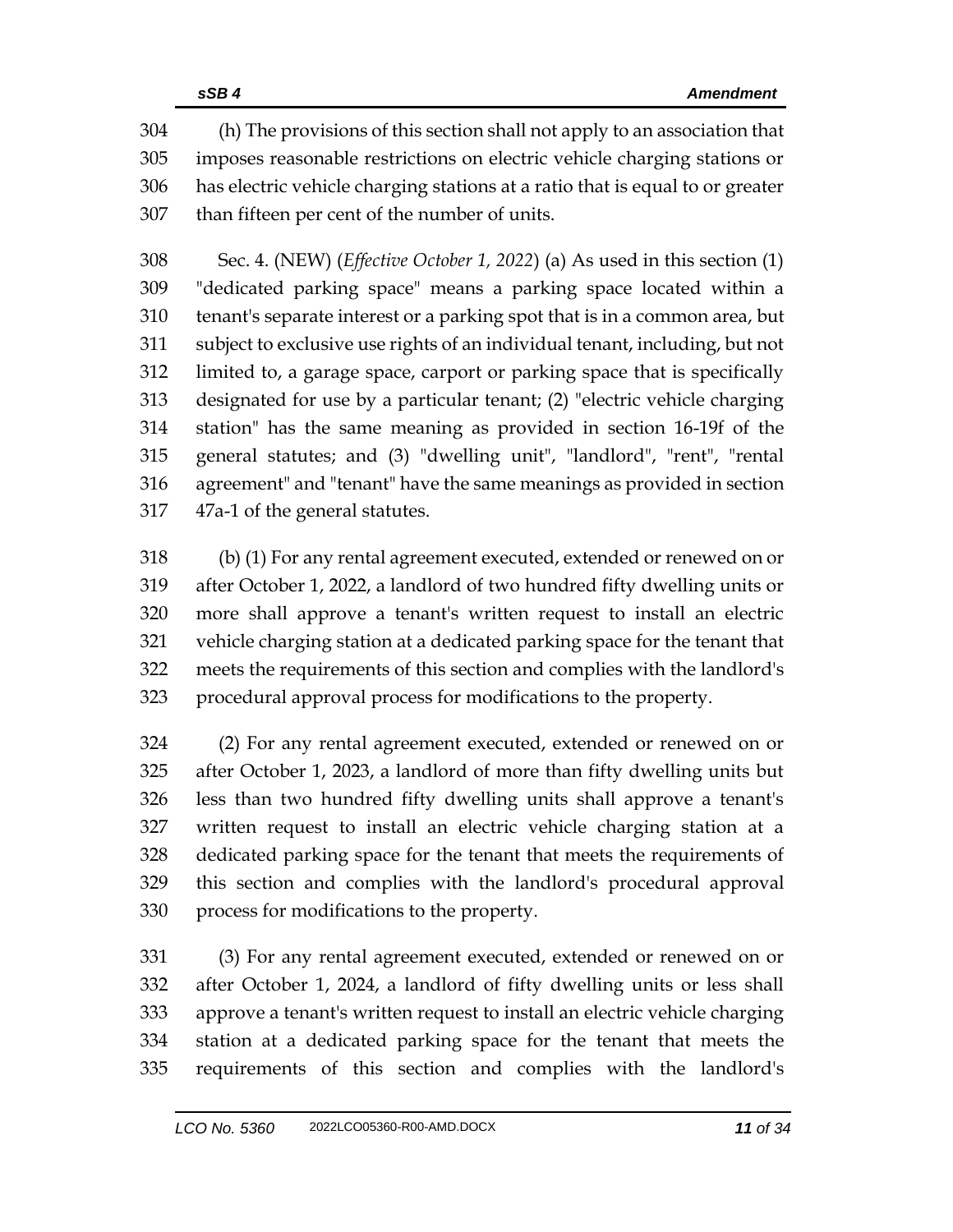(h) The provisions of this section shall not apply to an association that imposes reasonable restrictions on electric vehicle charging stations or has electric vehicle charging stations at a ratio that is equal to or greater than fifteen per cent of the number of units.

 Sec. 4. (NEW) (*Effective October 1, 2022*) (a) As used in this section (1) "dedicated parking space" means a parking space located within a tenant's separate interest or a parking spot that is in a common area, but subject to exclusive use rights of an individual tenant, including, but not limited to, a garage space, carport or parking space that is specifically designated for use by a particular tenant; (2) "electric vehicle charging station" has the same meaning as provided in section 16-19f of the general statutes; and (3) "dwelling unit", "landlord", "rent", "rental agreement" and "tenant" have the same meanings as provided in section 47a-1 of the general statutes.

 (b) (1) For any rental agreement executed, extended or renewed on or after October 1, 2022, a landlord of two hundred fifty dwelling units or more shall approve a tenant's written request to install an electric vehicle charging station at a dedicated parking space for the tenant that meets the requirements of this section and complies with the landlord's procedural approval process for modifications to the property.

 (2) For any rental agreement executed, extended or renewed on or after October 1, 2023, a landlord of more than fifty dwelling units but less than two hundred fifty dwelling units shall approve a tenant's written request to install an electric vehicle charging station at a dedicated parking space for the tenant that meets the requirements of this section and complies with the landlord's procedural approval process for modifications to the property.

 (3) For any rental agreement executed, extended or renewed on or after October 1, 2024, a landlord of fifty dwelling units or less shall approve a tenant's written request to install an electric vehicle charging station at a dedicated parking space for the tenant that meets the requirements of this section and complies with the landlord's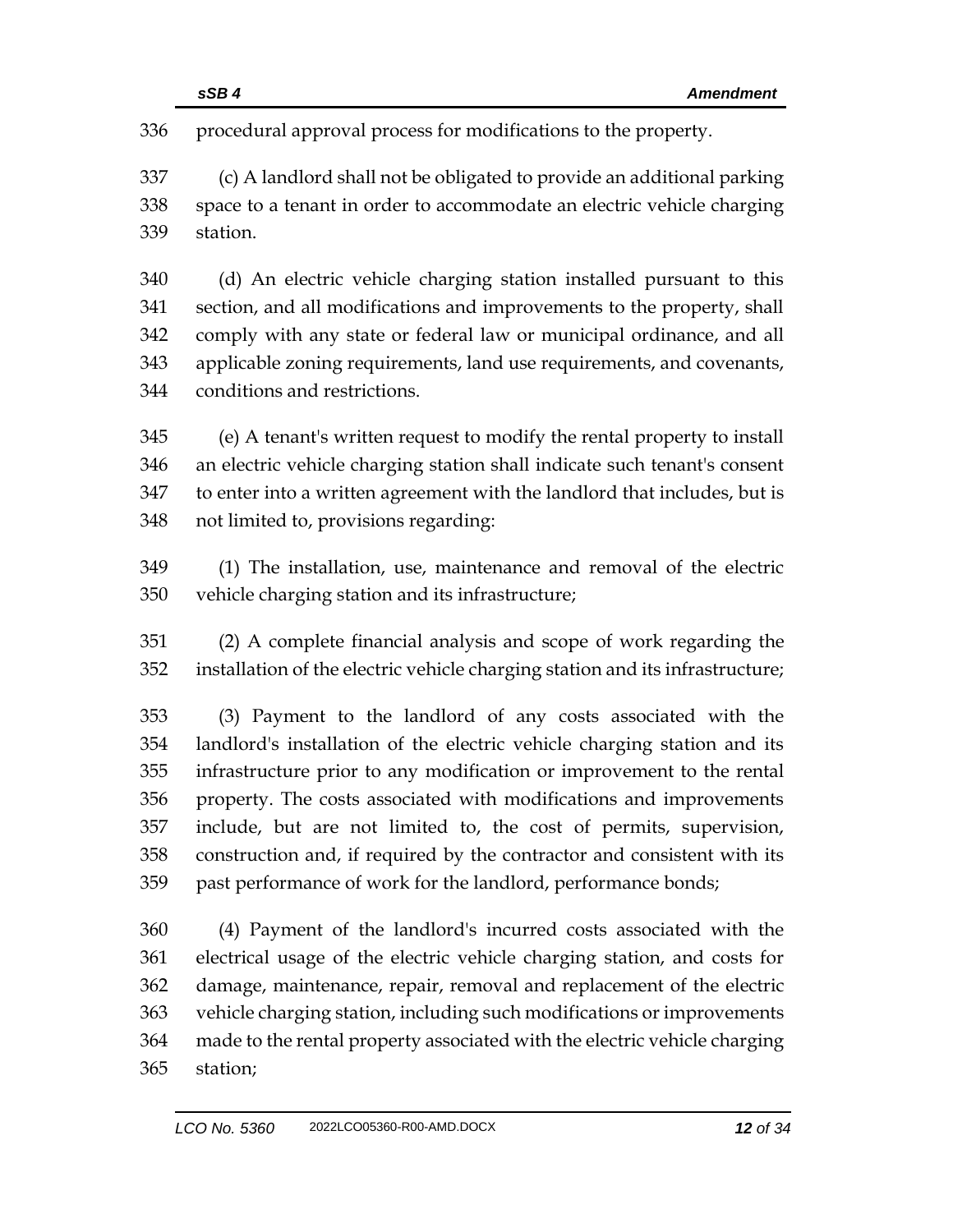procedural approval process for modifications to the property.

 (c) A landlord shall not be obligated to provide an additional parking space to a tenant in order to accommodate an electric vehicle charging station.

 (d) An electric vehicle charging station installed pursuant to this section, and all modifications and improvements to the property, shall comply with any state or federal law or municipal ordinance, and all applicable zoning requirements, land use requirements, and covenants, conditions and restrictions.

 (e) A tenant's written request to modify the rental property to install an electric vehicle charging station shall indicate such tenant's consent to enter into a written agreement with the landlord that includes, but is not limited to, provisions regarding:

 (1) The installation, use, maintenance and removal of the electric vehicle charging station and its infrastructure;

 (2) A complete financial analysis and scope of work regarding the installation of the electric vehicle charging station and its infrastructure;

 (3) Payment to the landlord of any costs associated with the landlord's installation of the electric vehicle charging station and its infrastructure prior to any modification or improvement to the rental property. The costs associated with modifications and improvements include, but are not limited to, the cost of permits, supervision, construction and, if required by the contractor and consistent with its past performance of work for the landlord, performance bonds;

 (4) Payment of the landlord's incurred costs associated with the electrical usage of the electric vehicle charging station, and costs for damage, maintenance, repair, removal and replacement of the electric vehicle charging station, including such modifications or improvements made to the rental property associated with the electric vehicle charging station;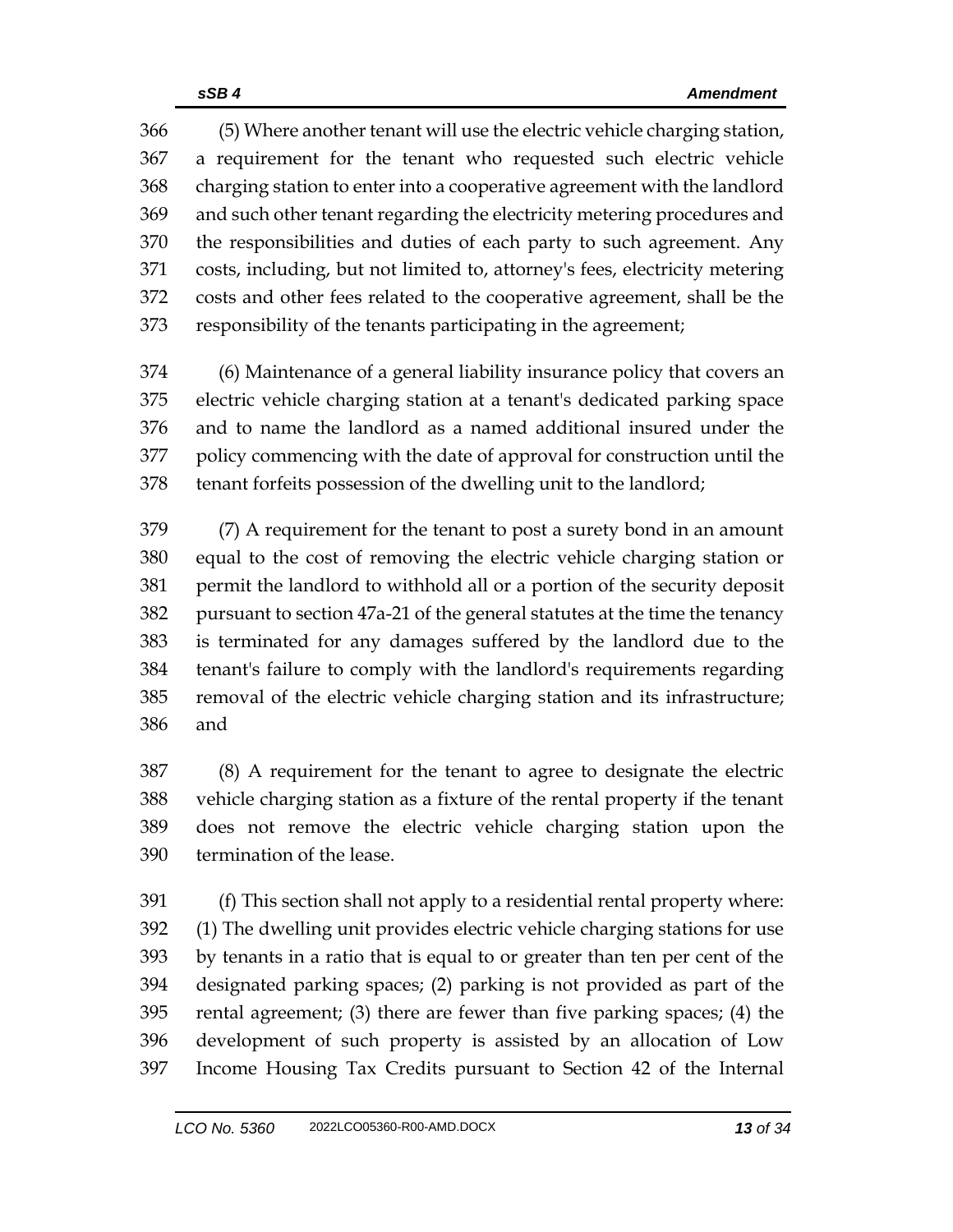(5) Where another tenant will use the electric vehicle charging station, a requirement for the tenant who requested such electric vehicle charging station to enter into a cooperative agreement with the landlord and such other tenant regarding the electricity metering procedures and the responsibilities and duties of each party to such agreement. Any costs, including, but not limited to, attorney's fees, electricity metering costs and other fees related to the cooperative agreement, shall be the responsibility of the tenants participating in the agreement;

 (6) Maintenance of a general liability insurance policy that covers an electric vehicle charging station at a tenant's dedicated parking space and to name the landlord as a named additional insured under the policy commencing with the date of approval for construction until the tenant forfeits possession of the dwelling unit to the landlord;

 (7) A requirement for the tenant to post a surety bond in an amount equal to the cost of removing the electric vehicle charging station or permit the landlord to withhold all or a portion of the security deposit pursuant to section 47a-21 of the general statutes at the time the tenancy is terminated for any damages suffered by the landlord due to the tenant's failure to comply with the landlord's requirements regarding removal of the electric vehicle charging station and its infrastructure; and

 (8) A requirement for the tenant to agree to designate the electric vehicle charging station as a fixture of the rental property if the tenant does not remove the electric vehicle charging station upon the termination of the lease.

 (f) This section shall not apply to a residential rental property where: (1) The dwelling unit provides electric vehicle charging stations for use by tenants in a ratio that is equal to or greater than ten per cent of the designated parking spaces; (2) parking is not provided as part of the rental agreement; (3) there are fewer than five parking spaces; (4) the development of such property is assisted by an allocation of Low Income Housing Tax Credits pursuant to Section 42 of the Internal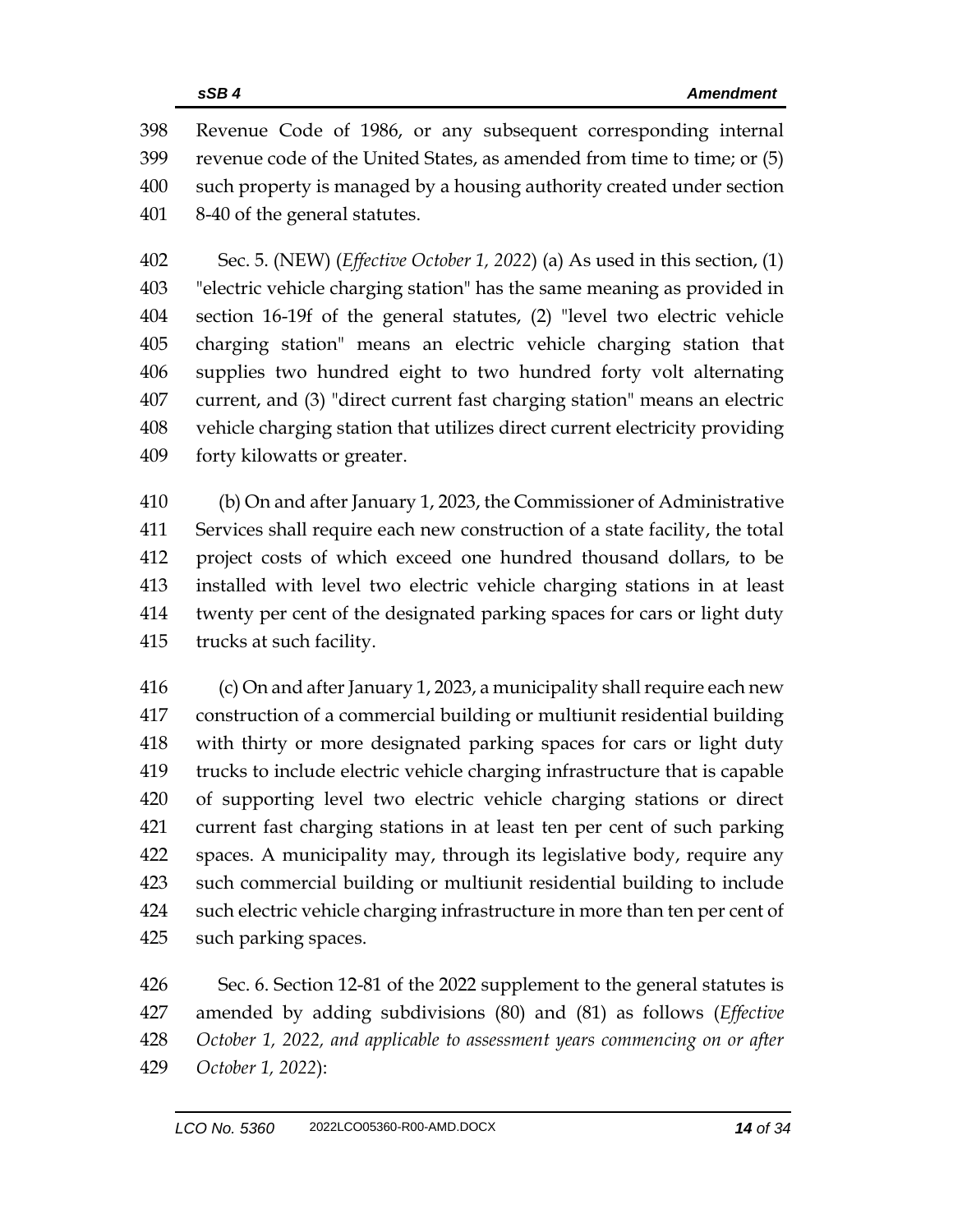Revenue Code of 1986, or any subsequent corresponding internal revenue code of the United States, as amended from time to time; or (5) such property is managed by a housing authority created under section 8-40 of the general statutes.

 Sec. 5. (NEW) (*Effective October 1, 2022*) (a) As used in this section, (1) "electric vehicle charging station" has the same meaning as provided in section 16-19f of the general statutes, (2) "level two electric vehicle charging station" means an electric vehicle charging station that supplies two hundred eight to two hundred forty volt alternating current, and (3) "direct current fast charging station" means an electric vehicle charging station that utilizes direct current electricity providing forty kilowatts or greater.

 (b) On and after January 1, 2023, the Commissioner of Administrative Services shall require each new construction of a state facility, the total project costs of which exceed one hundred thousand dollars, to be installed with level two electric vehicle charging stations in at least twenty per cent of the designated parking spaces for cars or light duty trucks at such facility.

 (c) On and after January 1, 2023, a municipality shall require each new construction of a commercial building or multiunit residential building with thirty or more designated parking spaces for cars or light duty trucks to include electric vehicle charging infrastructure that is capable of supporting level two electric vehicle charging stations or direct current fast charging stations in at least ten per cent of such parking spaces. A municipality may, through its legislative body, require any such commercial building or multiunit residential building to include such electric vehicle charging infrastructure in more than ten per cent of such parking spaces.

 Sec. 6. Section 12-81 of the 2022 supplement to the general statutes is amended by adding subdivisions (80) and (81) as follows (*Effective October 1, 2022, and applicable to assessment years commencing on or after October 1, 2022*):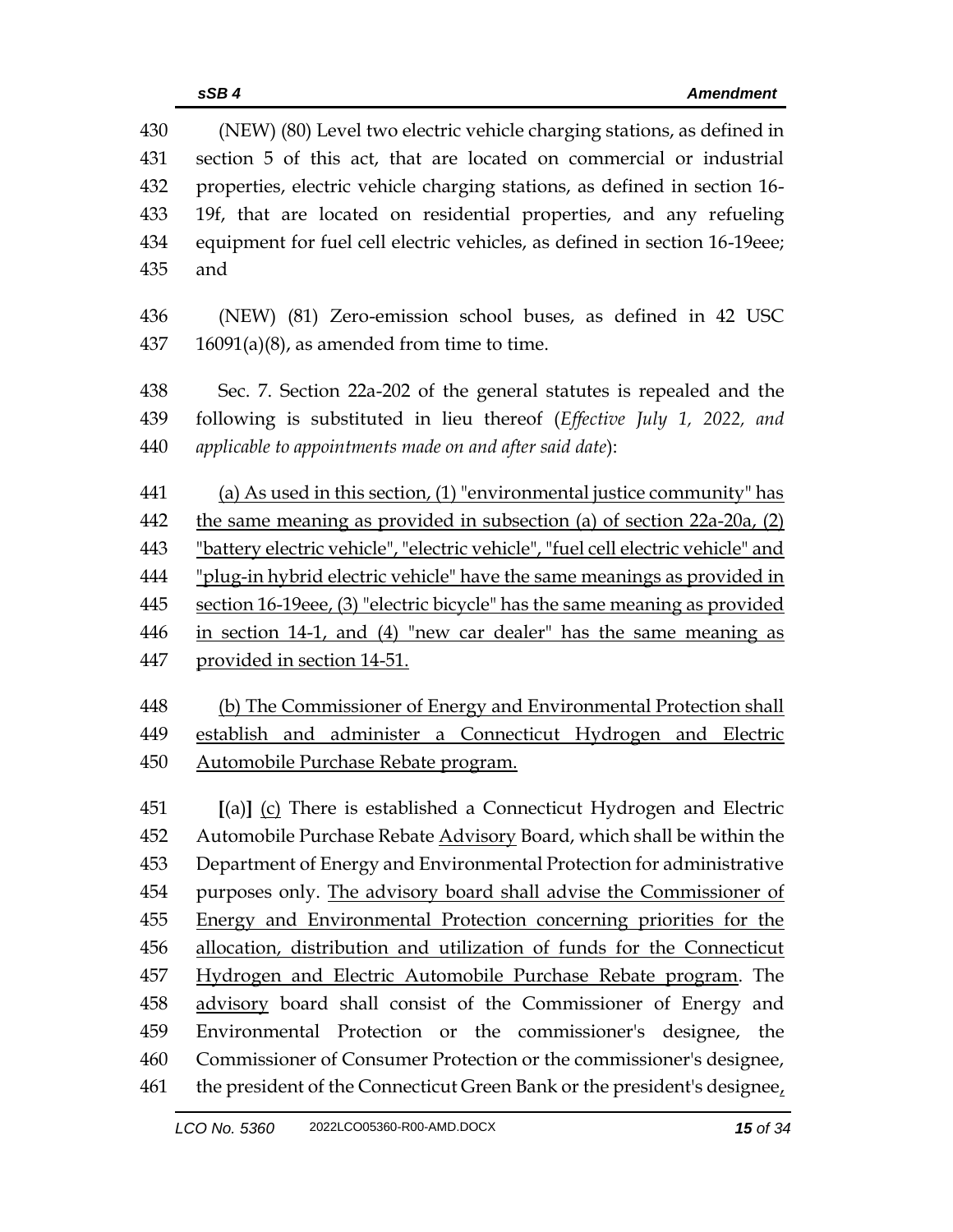| 430 | (NEW) (80) Level two electric vehicle charging stations, as defined in           |  |  |
|-----|----------------------------------------------------------------------------------|--|--|
| 431 | section 5 of this act, that are located on commercial or industrial              |  |  |
| 432 | properties, electric vehicle charging stations, as defined in section 16-        |  |  |
| 433 | 19f, that are located on residential properties, and any refueling               |  |  |
| 434 | equipment for fuel cell electric vehicles, as defined in section 16-19eee;       |  |  |
| 435 | and                                                                              |  |  |
| 436 | (NEW) (81) Zero-emission school buses, as defined in 42 USC                      |  |  |
| 437 | $16091(a)(8)$ , as amended from time to time.                                    |  |  |
| 438 | Sec. 7. Section 22a-202 of the general statutes is repealed and the              |  |  |
| 439 | following is substituted in lieu thereof (Effective July 1, 2022, and            |  |  |
| 440 | applicable to appointments made on and after said date):                         |  |  |
| 441 | (a) As used in this section, $(1)$ "environmental justice community" has         |  |  |
| 442 | the same meaning as provided in subsection (a) of section 22a-20a, (2)           |  |  |
| 443 | "battery electric vehicle", "electric vehicle", "fuel cell electric vehicle" and |  |  |
| 444 | "plug-in hybrid electric vehicle" have the same meanings as provided in          |  |  |
| 445 | section 16-19eee, (3) "electric bicycle" has the same meaning as provided        |  |  |
| 446 | in section 14-1, and (4) "new car dealer" has the same meaning as                |  |  |
| 447 | provided in section 14-51.                                                       |  |  |
| 448 | (b) The Commissioner of Energy and Environmental Protection shall                |  |  |
| 449 | establish and administer a Connecticut Hydrogen and Electric                     |  |  |
| 450 | Automobile Purchase Rebate program.                                              |  |  |
| 451 | [(a)] (c) There is established a Connecticut Hydrogen and Electric               |  |  |
| 452 | Automobile Purchase Rebate Advisory Board, which shall be within the             |  |  |
| 453 | Department of Energy and Environmental Protection for administrative             |  |  |
| 454 | purposes only. The advisory board shall advise the Commissioner of               |  |  |
| 455 | Energy and Environmental Protection concerning priorities for the                |  |  |
| 456 | allocation, distribution and utilization of funds for the Connecticut            |  |  |
| 457 | Hydrogen and Electric Automobile Purchase Rebate program. The                    |  |  |
| 458 | advisory board shall consist of the Commissioner of Energy and                   |  |  |
| 459 | Environmental Protection or the commissioner's designee, the                     |  |  |
| 460 | Commissioner of Consumer Protection or the commissioner's designee,              |  |  |
| 461 | the president of the Connecticut Green Bank or the president's designee,         |  |  |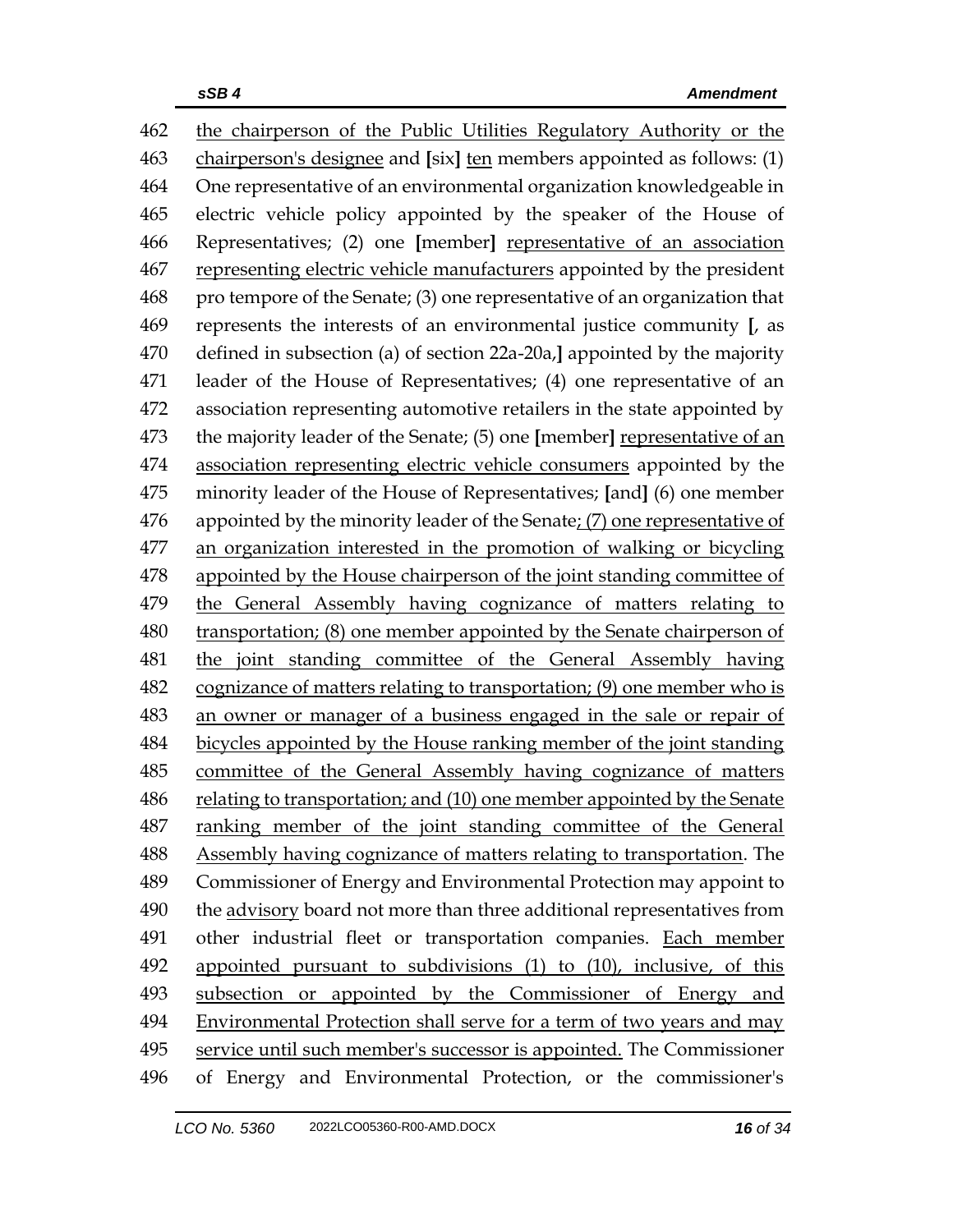the chairperson of the Public Utilities Regulatory Authority or the chairperson's designee and **[**six**]** ten members appointed as follows: (1) One representative of an environmental organization knowledgeable in electric vehicle policy appointed by the speaker of the House of Representatives; (2) one **[**member**]** representative of an association representing electric vehicle manufacturers appointed by the president pro tempore of the Senate; (3) one representative of an organization that represents the interests of an environmental justice community **[**, as defined in subsection (a) of section 22a-20a,**]** appointed by the majority leader of the House of Representatives; (4) one representative of an association representing automotive retailers in the state appointed by the majority leader of the Senate; (5) one **[**member**]** representative of an association representing electric vehicle consumers appointed by the minority leader of the House of Representatives; **[**and**]** (6) one member appointed by the minority leader of the Senate; (7) one representative of an organization interested in the promotion of walking or bicycling appointed by the House chairperson of the joint standing committee of the General Assembly having cognizance of matters relating to transportation; (8) one member appointed by the Senate chairperson of the joint standing committee of the General Assembly having cognizance of matters relating to transportation; (9) one member who is an owner or manager of a business engaged in the sale or repair of bicycles appointed by the House ranking member of the joint standing committee of the General Assembly having cognizance of matters relating to transportation; and (10) one member appointed by the Senate ranking member of the joint standing committee of the General Assembly having cognizance of matters relating to transportation. The Commissioner of Energy and Environmental Protection may appoint to the advisory board not more than three additional representatives from other industrial fleet or transportation companies. Each member appointed pursuant to subdivisions (1) to (10), inclusive, of this subsection or appointed by the Commissioner of Energy and Environmental Protection shall serve for a term of two years and may service until such member's successor is appointed. The Commissioner of Energy and Environmental Protection, or the commissioner's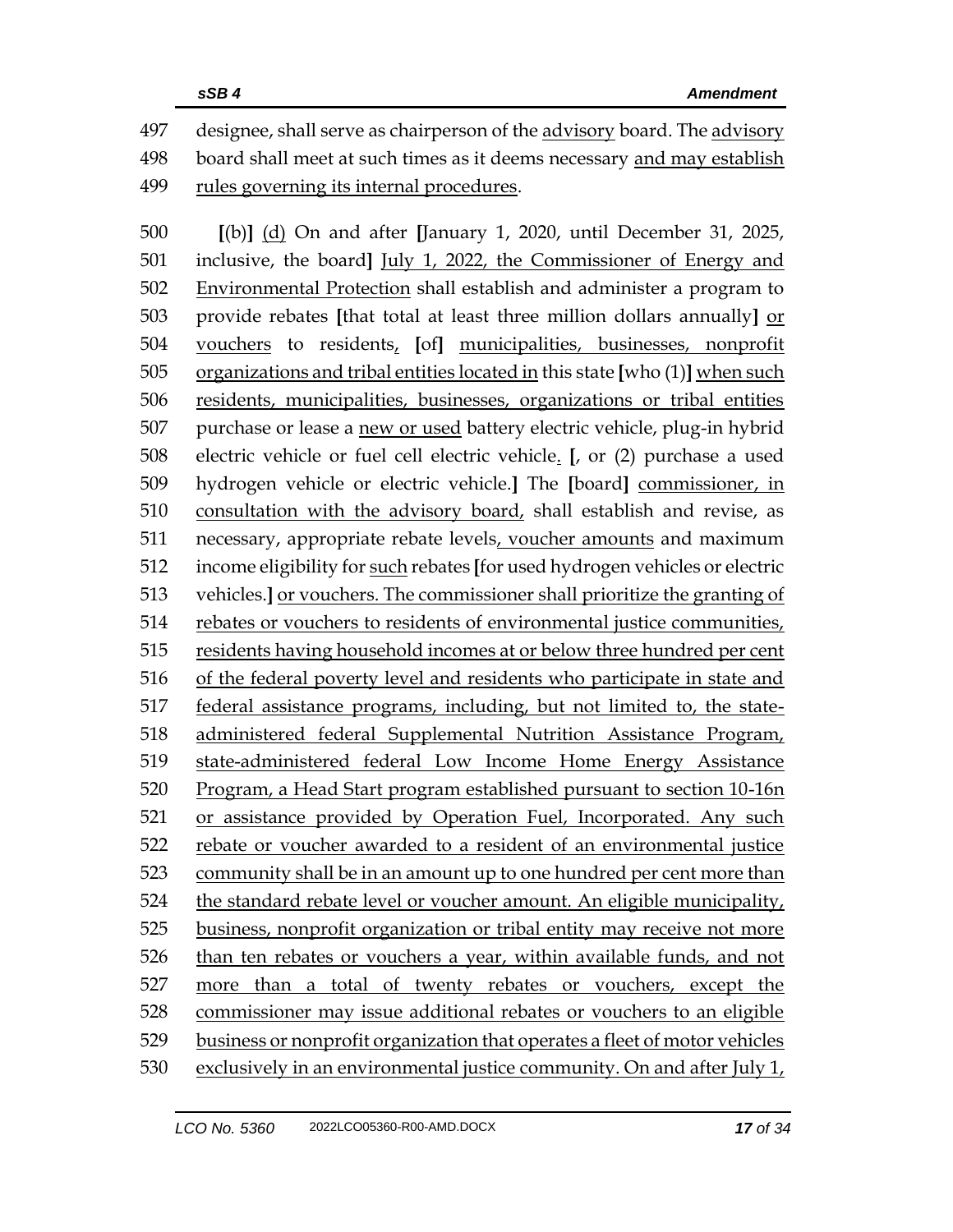designee, shall serve as chairperson of the advisory board. The advisory board shall meet at such times as it deems necessary and may establish rules governing its internal procedures.

 **[**(b)**]** (d) On and after **[**January 1, 2020, until December 31, 2025, inclusive, the board**]** July 1, 2022, the Commissioner of Energy and Environmental Protection shall establish and administer a program to provide rebates **[**that total at least three million dollars annually**]** or vouchers to residents, **[**of**]** municipalities, businesses, nonprofit organizations and tribal entities located in this state **[**who (1)**]** when such residents, municipalities, businesses, organizations or tribal entities purchase or lease a new or used battery electric vehicle, plug-in hybrid electric vehicle or fuel cell electric vehicle. **[**, or (2) purchase a used hydrogen vehicle or electric vehicle.**]** The **[**board**]** commissioner, in consultation with the advisory board, shall establish and revise, as necessary, appropriate rebate levels, voucher amounts and maximum income eligibility for such rebates **[**for used hydrogen vehicles or electric vehicles.**]** or vouchers. The commissioner shall prioritize the granting of 514 rebates or vouchers to residents of environmental justice communities, residents having household incomes at or below three hundred per cent of the federal poverty level and residents who participate in state and federal assistance programs, including, but not limited to, the state- administered federal Supplemental Nutrition Assistance Program, state-administered federal Low Income Home Energy Assistance Program, a Head Start program established pursuant to section 10-16n or assistance provided by Operation Fuel, Incorporated. Any such rebate or voucher awarded to a resident of an environmental justice community shall be in an amount up to one hundred per cent more than the standard rebate level or voucher amount. An eligible municipality, business, nonprofit organization or tribal entity may receive not more than ten rebates or vouchers a year, within available funds, and not more than a total of twenty rebates or vouchers, except the commissioner may issue additional rebates or vouchers to an eligible business or nonprofit organization that operates a fleet of motor vehicles exclusively in an environmental justice community. On and after July 1,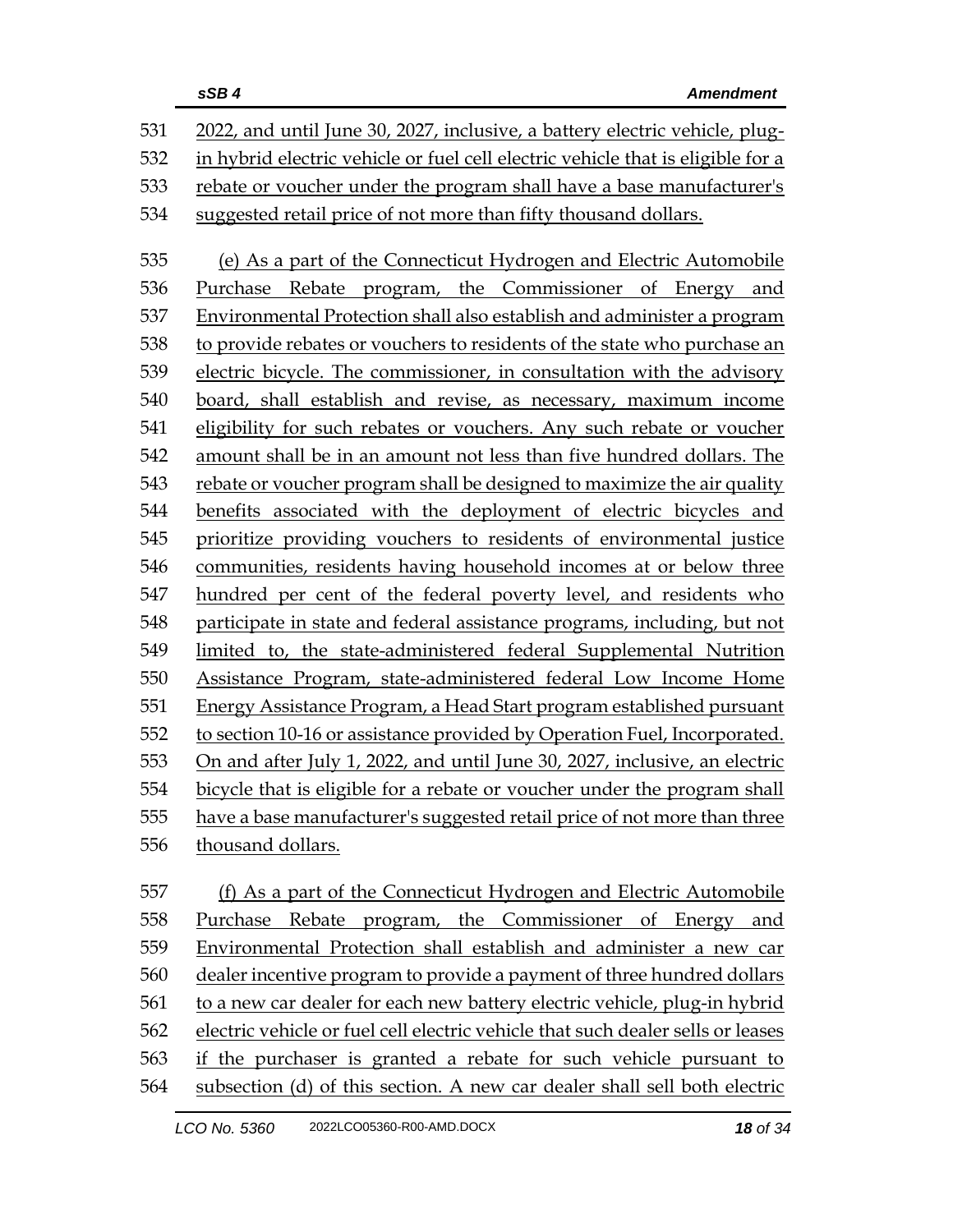|     | sSB4<br><b>Amendment</b>                                                        |
|-----|---------------------------------------------------------------------------------|
| 531 | 2022, and until June 30, 2027, inclusive, a battery electric vehicle, plug-     |
| 532 | in hybrid electric vehicle or fuel cell electric vehicle that is eligible for a |
| 533 | rebate or voucher under the program shall have a base manufacturer's            |
| 534 | suggested retail price of not more than fifty thousand dollars.                 |
| 535 | (e) As a part of the Connecticut Hydrogen and Electric Automobile               |
| 536 | Purchase Rebate program, the Commissioner of Energy and                         |
| 537 | Environmental Protection shall also establish and administer a program          |
| 538 | to provide rebates or vouchers to residents of the state who purchase an        |
| 539 | electric bicycle. The commissioner, in consultation with the advisory           |
| 540 | board, shall establish and revise, as necessary, maximum income                 |
| 541 | eligibility for such rebates or vouchers. Any such rebate or voucher            |
| 542 | amount shall be in an amount not less than five hundred dollars. The            |
| 543 | rebate or voucher program shall be designed to maximize the air quality         |
| 544 | benefits associated with the deployment of electric bicycles and                |
| 545 | prioritize providing vouchers to residents of environmental justice             |
| 546 | communities, residents having household incomes at or below three               |
| 547 | hundred per cent of the federal poverty level, and residents who                |
| 548 | participate in state and federal assistance programs, including, but not        |
| 549 | limited to, the state-administered federal Supplemental Nutrition               |
| 550 | Assistance Program, state-administered federal Low Income Home                  |
| 551 | Energy Assistance Program, a Head Start program established pursuant            |
| 552 | to section 10-16 or assistance provided by Operation Fuel, Incorporated.        |
| 553 | On and after July 1, 2022, and until June 30, 2027, inclusive, an electric      |
| 554 | bicycle that is eligible for a rebate or voucher under the program shall        |
| 555 | have a base manufacturer's suggested retail price of not more than three        |
| 556 | thousand dollars.                                                               |
| 557 | (f) As a part of the Connecticut Hydrogen and Electric Automobile               |
| 558 | Purchase<br>Rebate program, the Commissioner of Energy and                      |
| 559 | Environmental Protection shall establish and administer a new car               |
| 560 | dealer incentive program to provide a payment of three hundred dollars          |
| 561 | to a new car dealer for each new battery electric vehicle, plug-in hybrid       |

electric vehicle or fuel cell electric vehicle that such dealer sells or leases

 if the purchaser is granted a rebate for such vehicle pursuant to subsection (d) of this section. A new car dealer shall sell both electric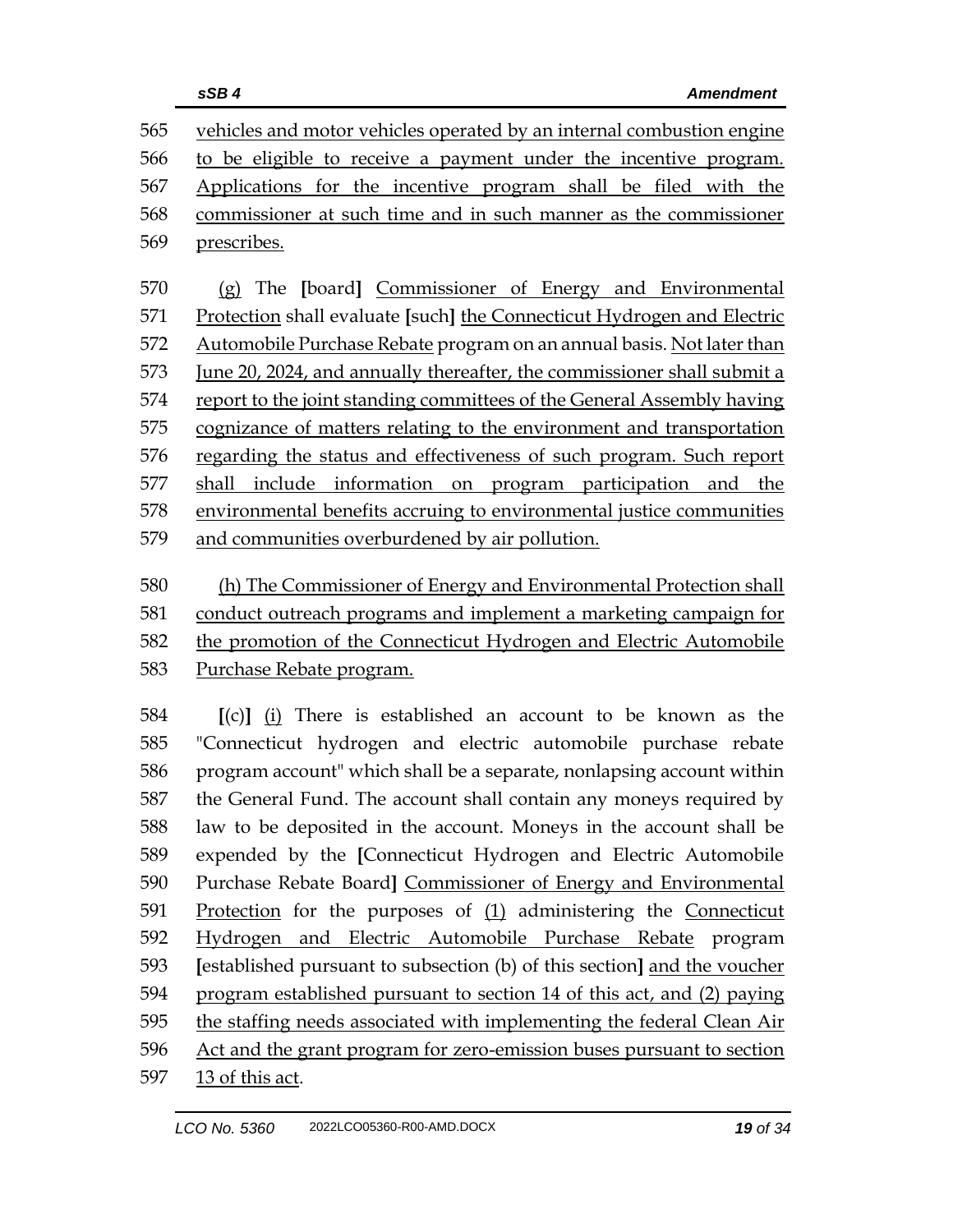|     | sSB4<br><b>Amendment</b>                                                       |
|-----|--------------------------------------------------------------------------------|
| 565 | vehicles and motor vehicles operated by an internal combustion engine          |
| 566 | to be eligible to receive a payment under the incentive program.               |
| 567 | Applications for the incentive program shall be filed with the                 |
| 568 | commissioner at such time and in such manner as the commissioner               |
| 569 | prescribes.                                                                    |
| 570 | (g) The [board] Commissioner of Energy and Environmental                       |
| 571 | Protection shall evaluate [such] the Connecticut Hydrogen and Electric         |
| 572 | Automobile Purchase Rebate program on an annual basis. Not later than          |
| 573 | <u>June 20, 2024, and annually thereafter, the commissioner shall submit a</u> |
| 574 | report to the joint standing committees of the General Assembly having         |
| 575 | cognizance of matters relating to the environment and transportation           |
| 576 | regarding the status and effectiveness of such program. Such report            |
| 577 | include information on program participation and the<br>shall                  |
| 578 | environmental benefits accruing to environmental justice communities           |
| 579 | and communities overburdened by air pollution.                                 |
| 580 | (h) The Commissioner of Energy and Environmental Protection shall              |
| 581 | conduct outreach programs and implement a marketing campaign for               |
| 582 | the promotion of the Connecticut Hydrogen and Electric Automobile              |
| 583 | Purchase Rebate program.                                                       |
| 584 | $[(c)]$ (i) There is established an account to be known as the                 |
| 585 | "Connecticut hydrogen and electric automobile purchase rebate                  |
| 586 | program account" which shall be a separate, nonlapsing account within          |
| 587 | the General Fund. The account shall contain any moneys required by             |
| 588 | law to be deposited in the account. Moneys in the account shall be             |
| 589 | expended by the [Connecticut Hydrogen and Electric Automobile                  |
| 590 | Purchase Rebate Board] Commissioner of Energy and Environmental                |
| 591 | Protection for the purposes of $(1)$ administering the Connecticut             |
| 592 | Hydrogen and Electric Automobile Purchase Rebate program                       |
| 593 | [established pursuant to subsection (b) of this section] and the voucher       |
| 594 | program established pursuant to section 14 of this act, and (2) paying         |
| 595 | the staffing needs associated with implementing the federal Clean Air          |

597 13 of this act.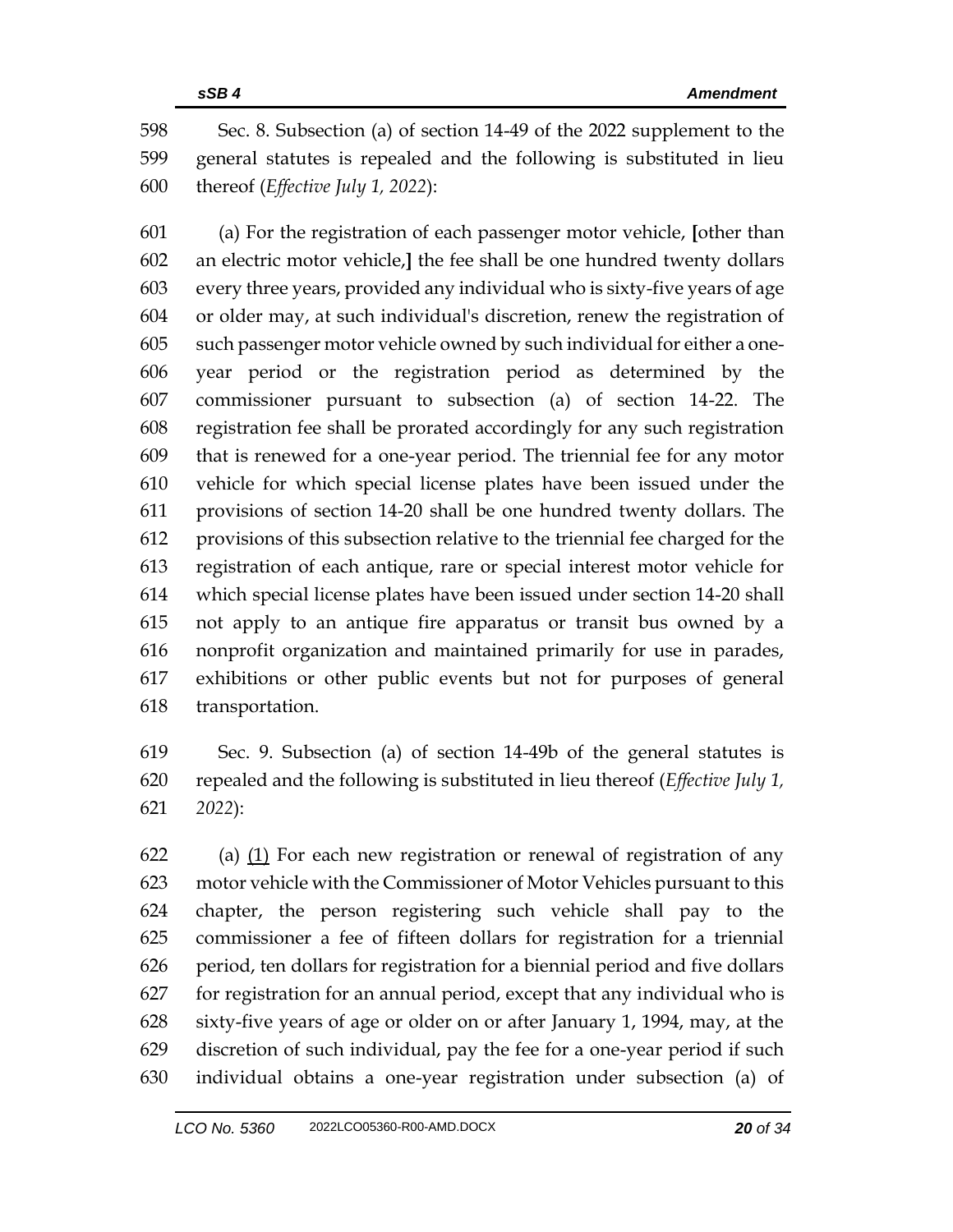Sec. 8. Subsection (a) of section 14-49 of the 2022 supplement to the general statutes is repealed and the following is substituted in lieu thereof (*Effective July 1, 2022*):

 (a) For the registration of each passenger motor vehicle, **[**other than an electric motor vehicle,**]** the fee shall be one hundred twenty dollars every three years, provided any individual who is sixty-five years of age or older may, at such individual's discretion, renew the registration of such passenger motor vehicle owned by such individual for either a one- year period or the registration period as determined by the commissioner pursuant to subsection (a) of section 14-22. The registration fee shall be prorated accordingly for any such registration that is renewed for a one-year period. The triennial fee for any motor vehicle for which special license plates have been issued under the provisions of section 14-20 shall be one hundred twenty dollars. The provisions of this subsection relative to the triennial fee charged for the registration of each antique, rare or special interest motor vehicle for which special license plates have been issued under section 14-20 shall not apply to an antique fire apparatus or transit bus owned by a nonprofit organization and maintained primarily for use in parades, exhibitions or other public events but not for purposes of general transportation.

 Sec. 9. Subsection (a) of section 14-49b of the general statutes is repealed and the following is substituted in lieu thereof (*Effective July 1, 2022*):

 (a) (1) For each new registration or renewal of registration of any motor vehicle with the Commissioner of Motor Vehicles pursuant to this chapter, the person registering such vehicle shall pay to the commissioner a fee of fifteen dollars for registration for a triennial period, ten dollars for registration for a biennial period and five dollars for registration for an annual period, except that any individual who is sixty-five years of age or older on or after January 1, 1994, may, at the discretion of such individual, pay the fee for a one-year period if such individual obtains a one-year registration under subsection (a) of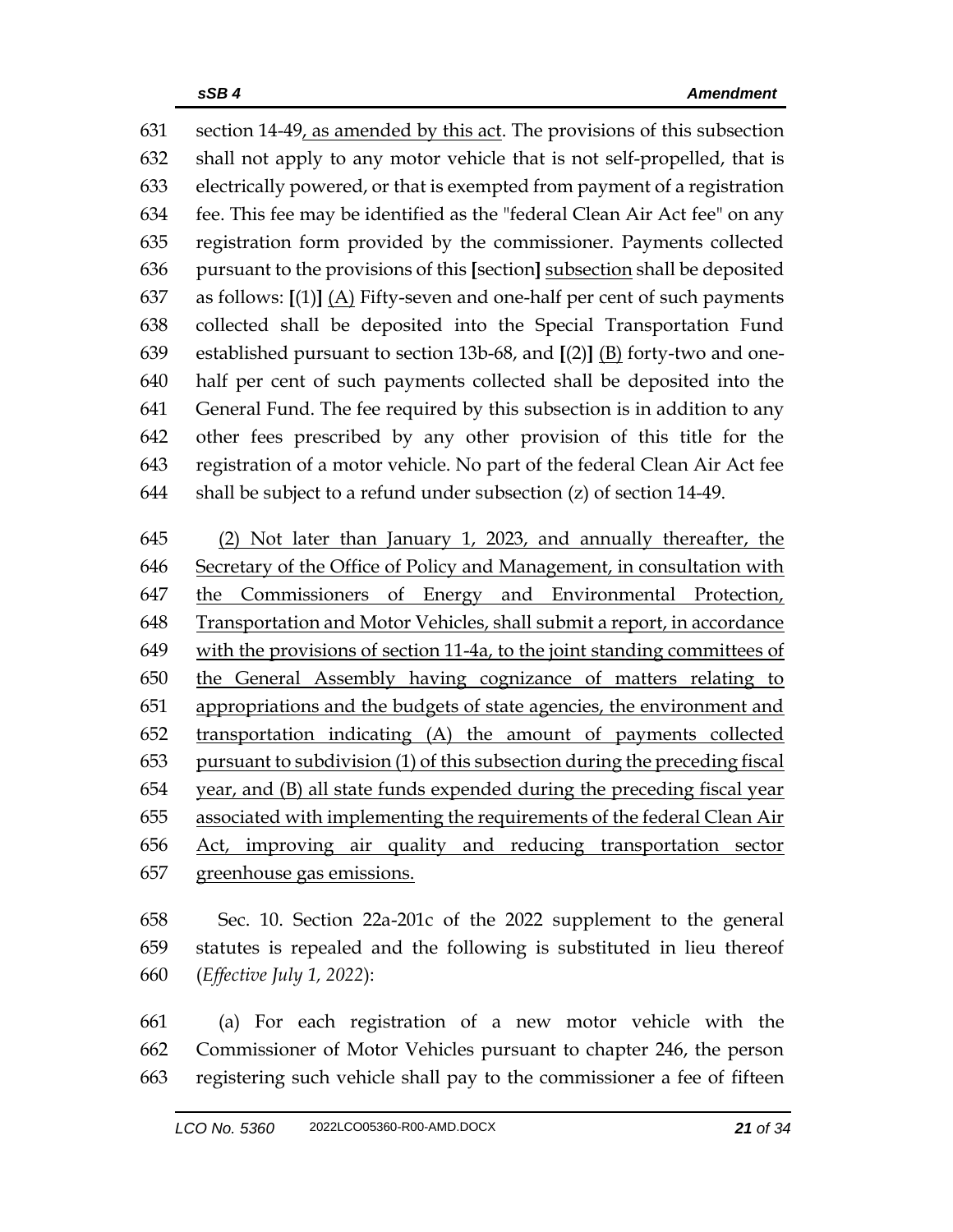section 14-49, as amended by this act. The provisions of this subsection shall not apply to any motor vehicle that is not self-propelled, that is electrically powered, or that is exempted from payment of a registration fee. This fee may be identified as the "federal Clean Air Act fee" on any registration form provided by the commissioner. Payments collected pursuant to the provisions of this **[**section**]** subsection shall be deposited 637 as follows:  $[(1)]$   $(A)$  Fifty-seven and one-half per cent of such payments collected shall be deposited into the Special Transportation Fund established pursuant to section 13b-68, and **[**(2)**]** (B) forty-two and one- half per cent of such payments collected shall be deposited into the General Fund. The fee required by this subsection is in addition to any other fees prescribed by any other provision of this title for the registration of a motor vehicle. No part of the federal Clean Air Act fee shall be subject to a refund under subsection (z) of section 14-49.

 (2) Not later than January 1, 2023, and annually thereafter, the Secretary of the Office of Policy and Management, in consultation with 647 the Commissioners of Energy and Environmental Protection, Transportation and Motor Vehicles, shall submit a report, in accordance with the provisions of section 11-4a, to the joint standing committees of the General Assembly having cognizance of matters relating to 651 appropriations and the budgets of state agencies, the environment and transportation indicating (A) the amount of payments collected pursuant to subdivision (1) of this subsection during the preceding fiscal year, and (B) all state funds expended during the preceding fiscal year associated with implementing the requirements of the federal Clean Air Act, improving air quality and reducing transportation sector greenhouse gas emissions.

 Sec. 10. Section 22a-201c of the 2022 supplement to the general statutes is repealed and the following is substituted in lieu thereof (*Effective July 1, 2022*):

 (a) For each registration of a new motor vehicle with the Commissioner of Motor Vehicles pursuant to chapter 246, the person registering such vehicle shall pay to the commissioner a fee of fifteen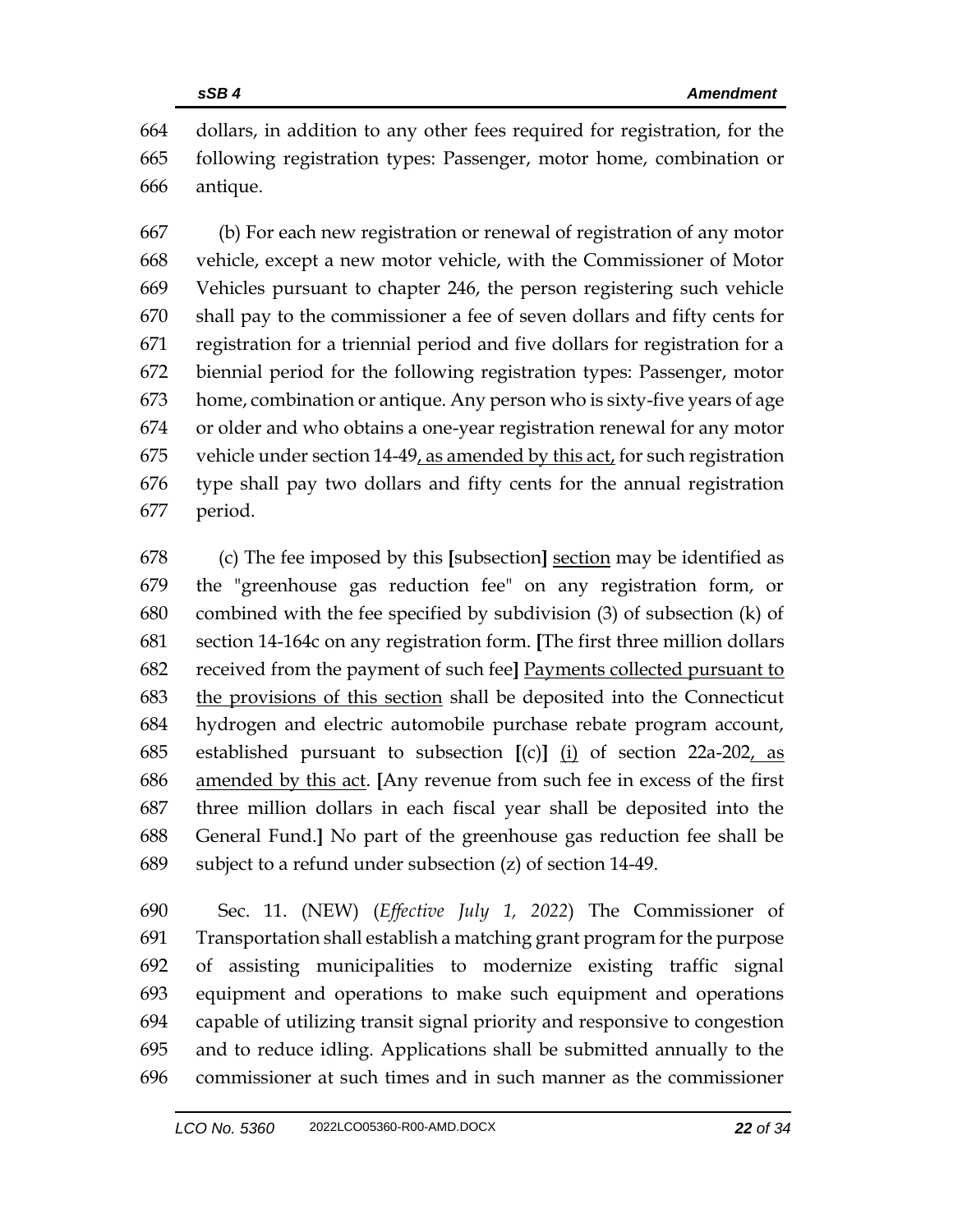dollars, in addition to any other fees required for registration, for the following registration types: Passenger, motor home, combination or antique.

 (b) For each new registration or renewal of registration of any motor vehicle, except a new motor vehicle, with the Commissioner of Motor Vehicles pursuant to chapter 246, the person registering such vehicle shall pay to the commissioner a fee of seven dollars and fifty cents for registration for a triennial period and five dollars for registration for a biennial period for the following registration types: Passenger, motor home, combination or antique. Any person who is sixty-five years of age or older and who obtains a one-year registration renewal for any motor vehicle under section 14-49, as amended by this act, for such registration type shall pay two dollars and fifty cents for the annual registration period.

 (c) The fee imposed by this **[**subsection**]** section may be identified as the "greenhouse gas reduction fee" on any registration form, or combined with the fee specified by subdivision (3) of subsection (k) of section 14-164c on any registration form. **[**The first three million dollars received from the payment of such fee**]** Payments collected pursuant to the provisions of this section shall be deposited into the Connecticut hydrogen and electric automobile purchase rebate program account, established pursuant to subsection **[**(c)**]** (i) of section 22a-202, as amended by this act. **[**Any revenue from such fee in excess of the first three million dollars in each fiscal year shall be deposited into the General Fund.**]** No part of the greenhouse gas reduction fee shall be subject to a refund under subsection (z) of section 14-49.

 Sec. 11. (NEW) (*Effective July 1, 2022*) The Commissioner of Transportation shall establish a matching grant program for the purpose of assisting municipalities to modernize existing traffic signal equipment and operations to make such equipment and operations capable of utilizing transit signal priority and responsive to congestion and to reduce idling. Applications shall be submitted annually to the commissioner at such times and in such manner as the commissioner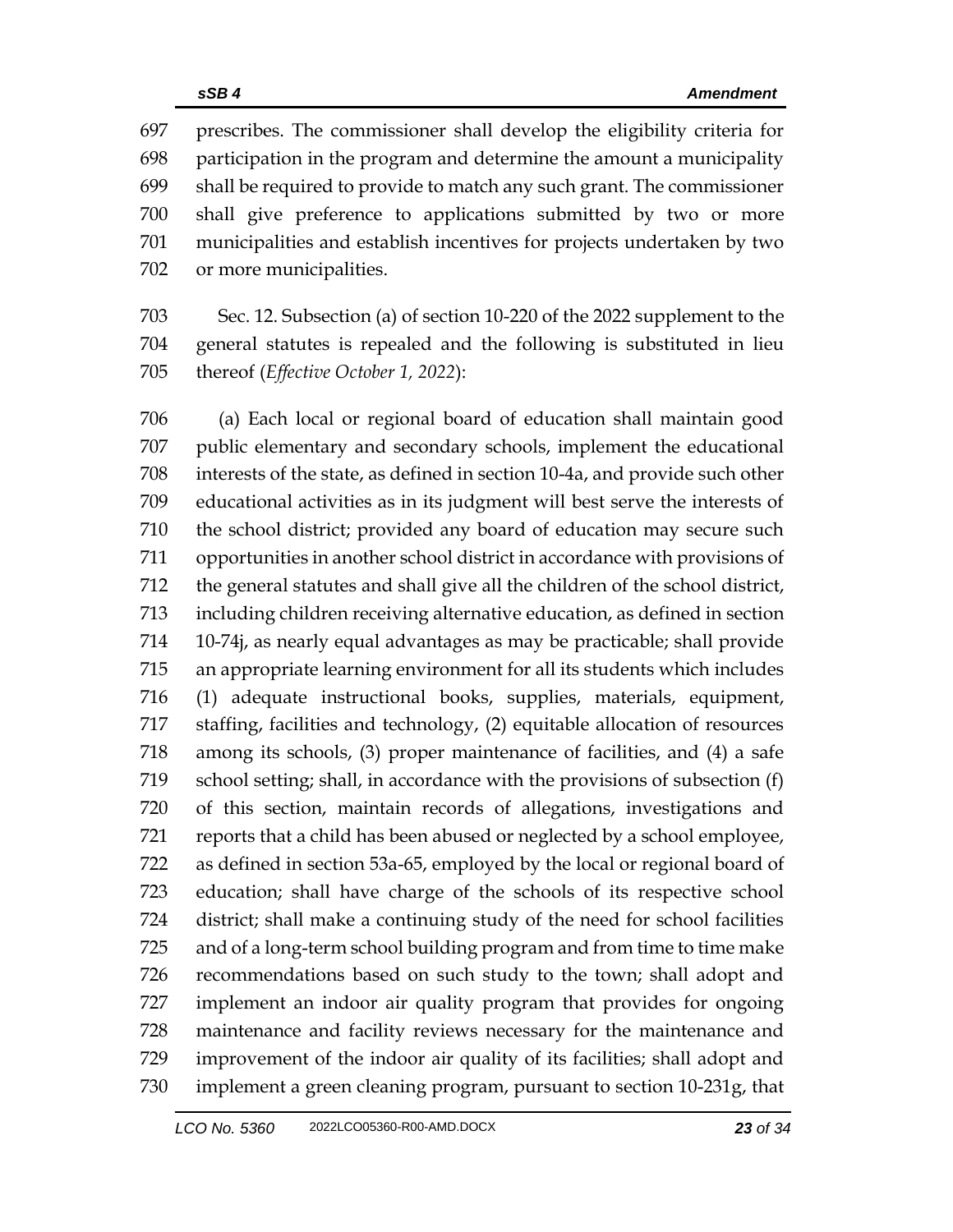prescribes. The commissioner shall develop the eligibility criteria for participation in the program and determine the amount a municipality shall be required to provide to match any such grant. The commissioner shall give preference to applications submitted by two or more municipalities and establish incentives for projects undertaken by two or more municipalities.

 Sec. 12. Subsection (a) of section 10-220 of the 2022 supplement to the general statutes is repealed and the following is substituted in lieu thereof (*Effective October 1, 2022*):

 (a) Each local or regional board of education shall maintain good public elementary and secondary schools, implement the educational interests of the state, as defined in section 10-4a, and provide such other educational activities as in its judgment will best serve the interests of the school district; provided any board of education may secure such opportunities in another school district in accordance with provisions of the general statutes and shall give all the children of the school district, including children receiving alternative education, as defined in section 10-74j, as nearly equal advantages as may be practicable; shall provide an appropriate learning environment for all its students which includes (1) adequate instructional books, supplies, materials, equipment, staffing, facilities and technology, (2) equitable allocation of resources among its schools, (3) proper maintenance of facilities, and (4) a safe school setting; shall, in accordance with the provisions of subsection (f) of this section, maintain records of allegations, investigations and reports that a child has been abused or neglected by a school employee, as defined in section 53a-65, employed by the local or regional board of education; shall have charge of the schools of its respective school district; shall make a continuing study of the need for school facilities and of a long-term school building program and from time to time make recommendations based on such study to the town; shall adopt and implement an indoor air quality program that provides for ongoing maintenance and facility reviews necessary for the maintenance and improvement of the indoor air quality of its facilities; shall adopt and implement a green cleaning program, pursuant to section 10-231g, that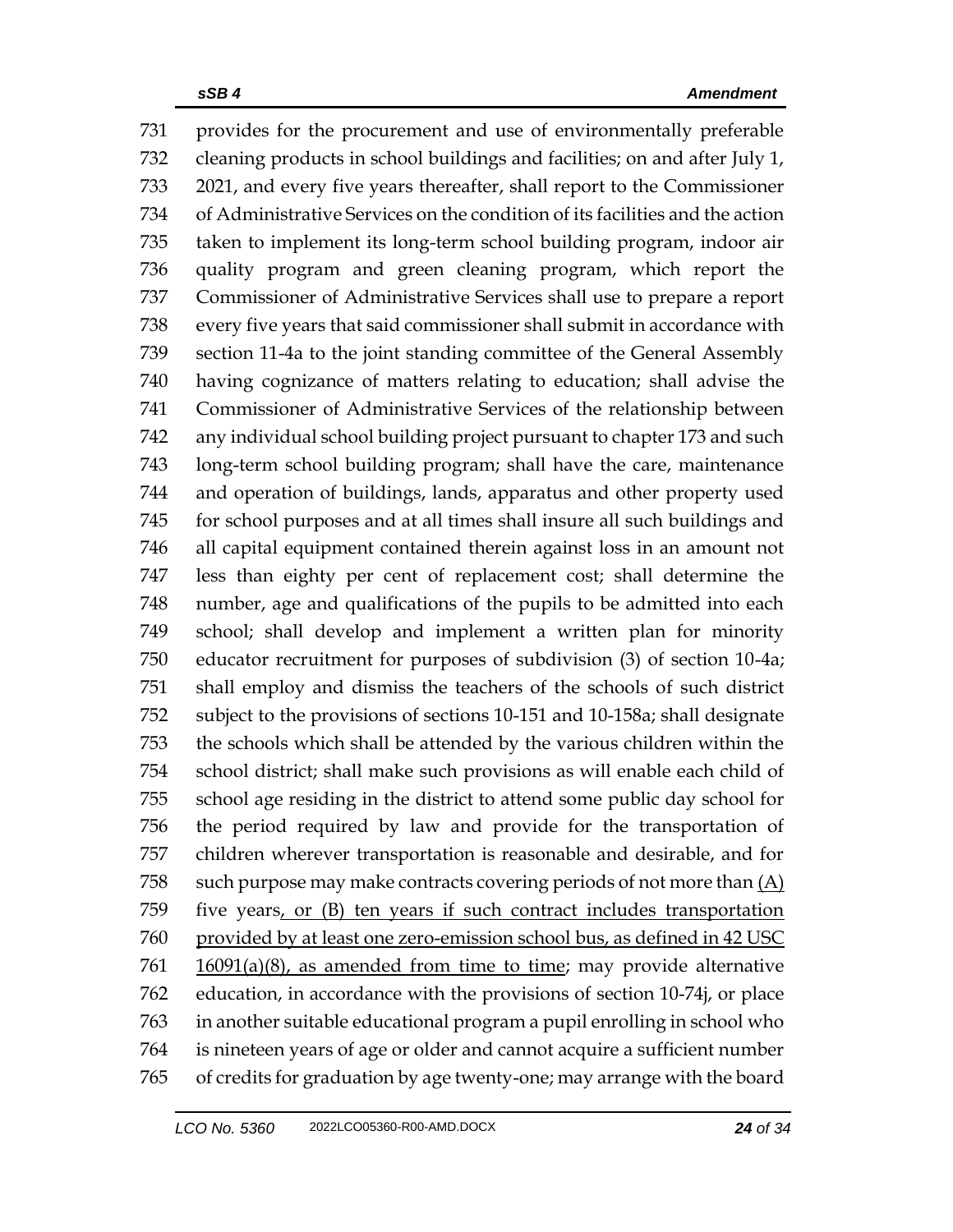provides for the procurement and use of environmentally preferable cleaning products in school buildings and facilities; on and after July 1, 2021, and every five years thereafter, shall report to the Commissioner of Administrative Services on the condition of its facilities and the action taken to implement its long-term school building program, indoor air quality program and green cleaning program, which report the Commissioner of Administrative Services shall use to prepare a report every five years that said commissioner shall submit in accordance with section 11-4a to the joint standing committee of the General Assembly having cognizance of matters relating to education; shall advise the Commissioner of Administrative Services of the relationship between any individual school building project pursuant to chapter 173 and such long-term school building program; shall have the care, maintenance and operation of buildings, lands, apparatus and other property used for school purposes and at all times shall insure all such buildings and all capital equipment contained therein against loss in an amount not less than eighty per cent of replacement cost; shall determine the number, age and qualifications of the pupils to be admitted into each school; shall develop and implement a written plan for minority educator recruitment for purposes of subdivision (3) of section 10-4a; shall employ and dismiss the teachers of the schools of such district subject to the provisions of sections 10-151 and 10-158a; shall designate the schools which shall be attended by the various children within the school district; shall make such provisions as will enable each child of school age residing in the district to attend some public day school for the period required by law and provide for the transportation of children wherever transportation is reasonable and desirable, and for 758 such purpose may make contracts covering periods of not more than  $(A)$  five years, or (B) ten years if such contract includes transportation provided by at least one zero-emission school bus, as defined in 42 USC  $16091(a)(8)$ , as amended from time to time; may provide alternative education, in accordance with the provisions of section 10-74j, or place in another suitable educational program a pupil enrolling in school who is nineteen years of age or older and cannot acquire a sufficient number of credits for graduation by age twenty-one; may arrange with the board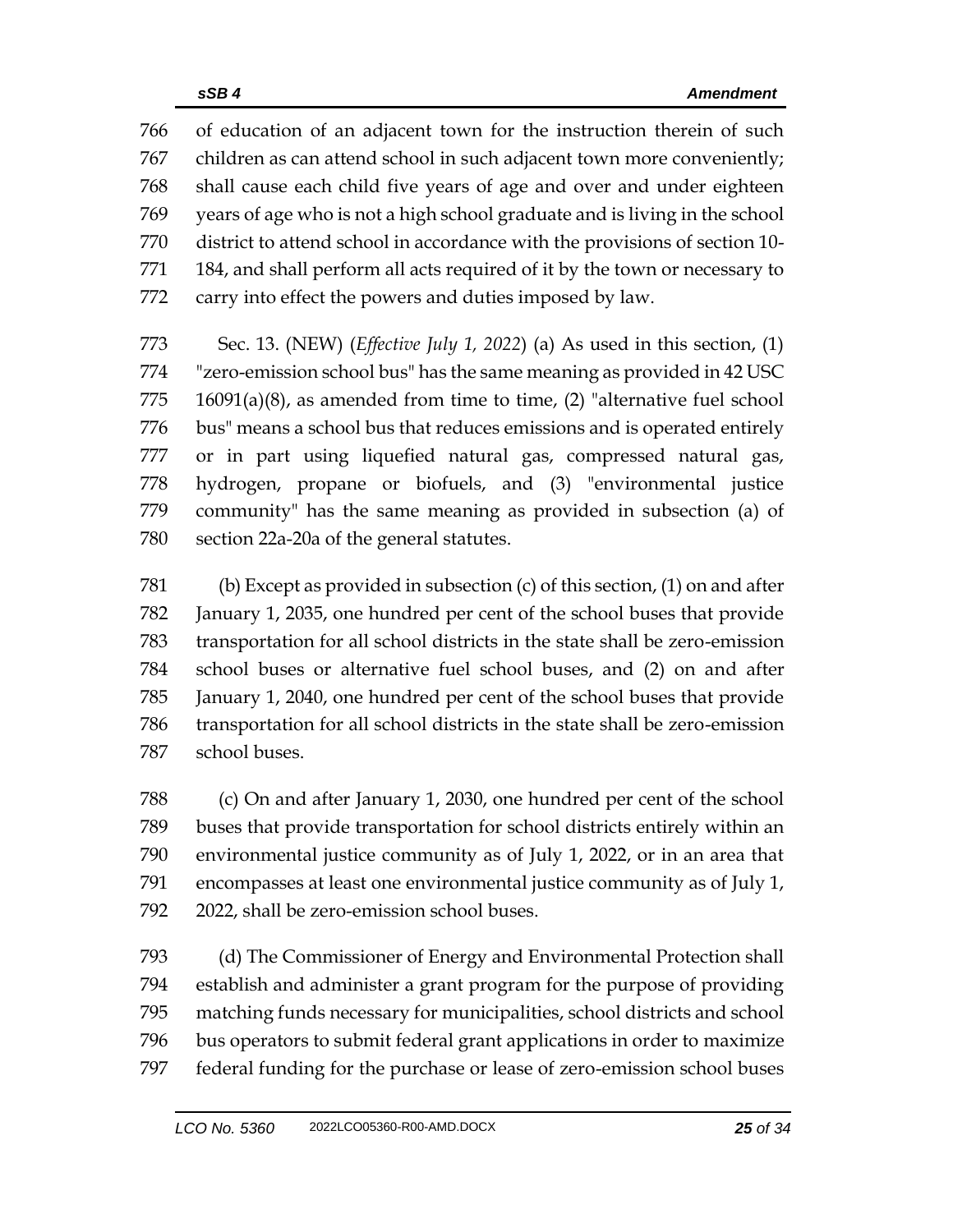of education of an adjacent town for the instruction therein of such children as can attend school in such adjacent town more conveniently; shall cause each child five years of age and over and under eighteen years of age who is not a high school graduate and is living in the school district to attend school in accordance with the provisions of section 10- 184, and shall perform all acts required of it by the town or necessary to carry into effect the powers and duties imposed by law.

 Sec. 13. (NEW) (*Effective July 1, 2022*) (a) As used in this section, (1) "zero-emission school bus" has the same meaning as provided in 42 USC 16091(a)(8), as amended from time to time, (2) "alternative fuel school bus" means a school bus that reduces emissions and is operated entirely or in part using liquefied natural gas, compressed natural gas, hydrogen, propane or biofuels, and (3) "environmental justice community" has the same meaning as provided in subsection (a) of section 22a-20a of the general statutes.

 (b) Except as provided in subsection (c) of this section, (1) on and after January 1, 2035, one hundred per cent of the school buses that provide transportation for all school districts in the state shall be zero-emission school buses or alternative fuel school buses, and (2) on and after January 1, 2040, one hundred per cent of the school buses that provide transportation for all school districts in the state shall be zero-emission school buses.

 (c) On and after January 1, 2030, one hundred per cent of the school buses that provide transportation for school districts entirely within an environmental justice community as of July 1, 2022, or in an area that encompasses at least one environmental justice community as of July 1, 2022, shall be zero-emission school buses.

 (d) The Commissioner of Energy and Environmental Protection shall establish and administer a grant program for the purpose of providing matching funds necessary for municipalities, school districts and school bus operators to submit federal grant applications in order to maximize federal funding for the purchase or lease of zero-emission school buses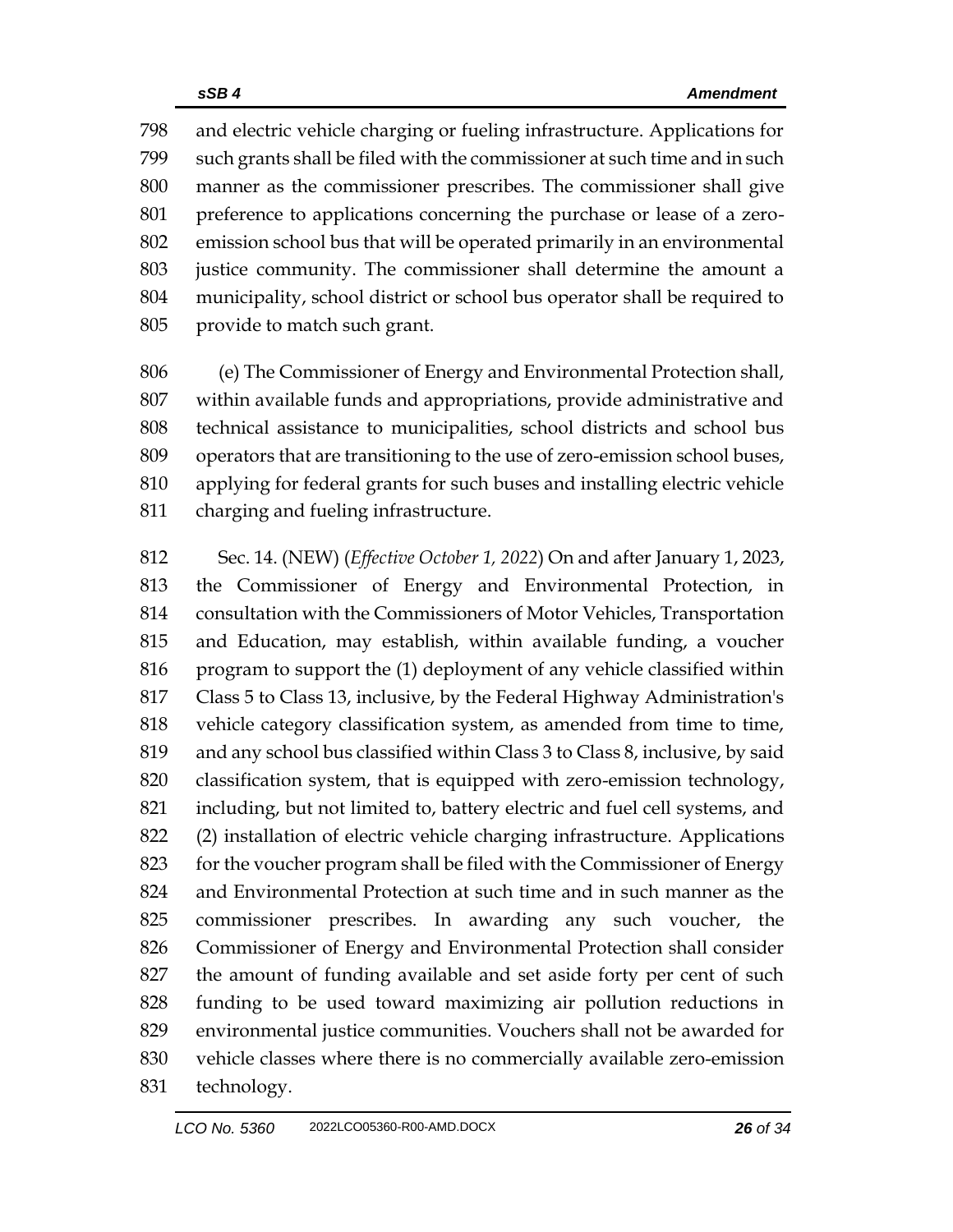and electric vehicle charging or fueling infrastructure. Applications for such grants shall be filed with the commissioner at such time and in such manner as the commissioner prescribes. The commissioner shall give preference to applications concerning the purchase or lease of a zero- emission school bus that will be operated primarily in an environmental justice community. The commissioner shall determine the amount a municipality, school district or school bus operator shall be required to provide to match such grant.

 (e) The Commissioner of Energy and Environmental Protection shall, within available funds and appropriations, provide administrative and technical assistance to municipalities, school districts and school bus operators that are transitioning to the use of zero-emission school buses, applying for federal grants for such buses and installing electric vehicle charging and fueling infrastructure.

 Sec. 14. (NEW) (*Effective October 1, 2022*) On and after January 1, 2023, the Commissioner of Energy and Environmental Protection, in consultation with the Commissioners of Motor Vehicles, Transportation and Education, may establish, within available funding, a voucher program to support the (1) deployment of any vehicle classified within Class 5 to Class 13, inclusive, by the Federal Highway Administration's vehicle category classification system, as amended from time to time, and any school bus classified within Class 3 to Class 8, inclusive, by said classification system, that is equipped with zero-emission technology, including, but not limited to, battery electric and fuel cell systems, and (2) installation of electric vehicle charging infrastructure. Applications for the voucher program shall be filed with the Commissioner of Energy and Environmental Protection at such time and in such manner as the commissioner prescribes. In awarding any such voucher, the Commissioner of Energy and Environmental Protection shall consider the amount of funding available and set aside forty per cent of such funding to be used toward maximizing air pollution reductions in environmental justice communities. Vouchers shall not be awarded for vehicle classes where there is no commercially available zero-emission technology.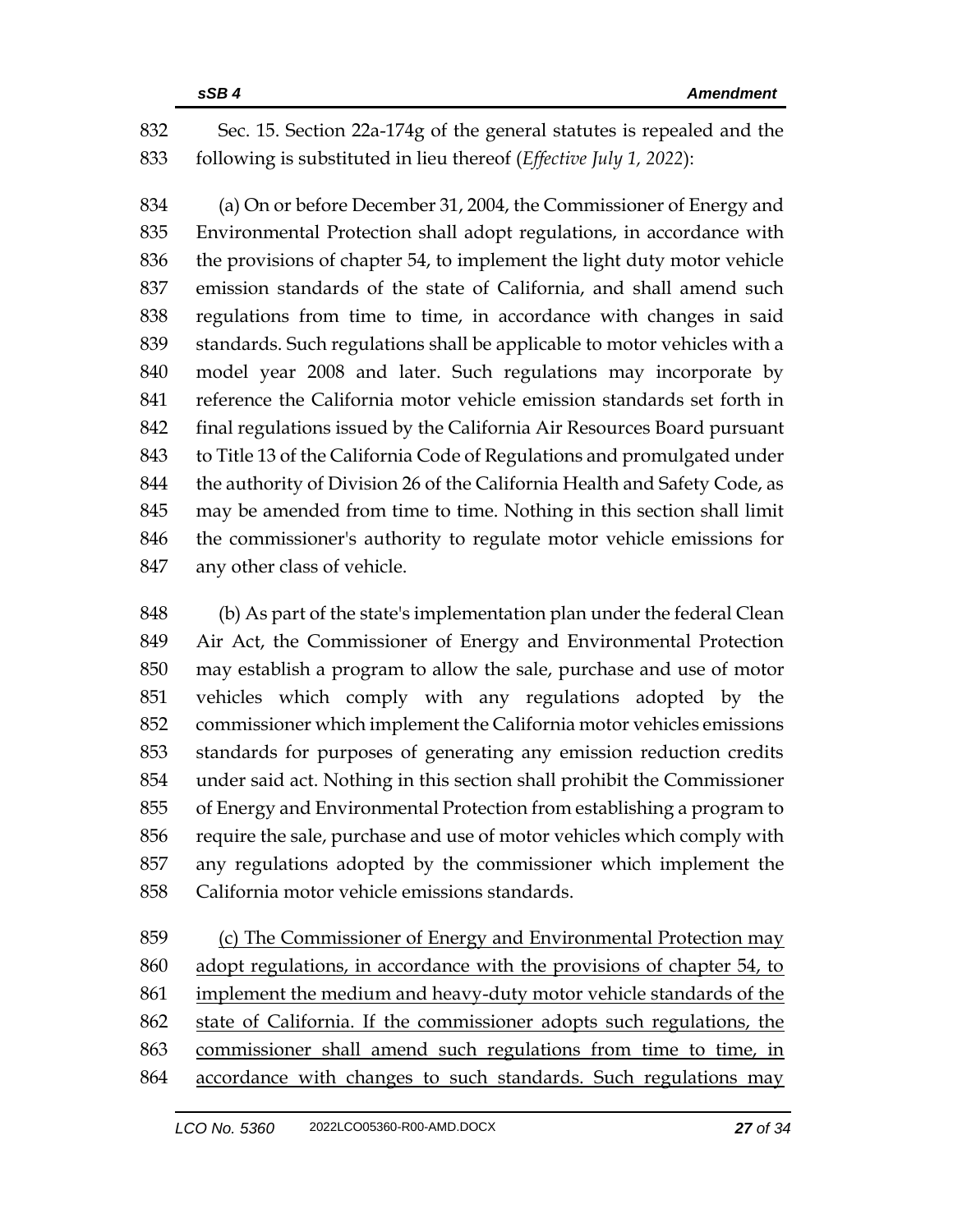Sec. 15. Section 22a-174g of the general statutes is repealed and the following is substituted in lieu thereof (*Effective July 1, 2022*):

 (a) On or before December 31, 2004, the Commissioner of Energy and Environmental Protection shall adopt regulations, in accordance with the provisions of chapter 54, to implement the light duty motor vehicle emission standards of the state of California, and shall amend such regulations from time to time, in accordance with changes in said standards. Such regulations shall be applicable to motor vehicles with a model year 2008 and later. Such regulations may incorporate by reference the California motor vehicle emission standards set forth in final regulations issued by the California Air Resources Board pursuant to Title 13 of the California Code of Regulations and promulgated under 844 the authority of Division 26 of the California Health and Safety Code, as may be amended from time to time. Nothing in this section shall limit the commissioner's authority to regulate motor vehicle emissions for any other class of vehicle.

 (b) As part of the state's implementation plan under the federal Clean Air Act, the Commissioner of Energy and Environmental Protection may establish a program to allow the sale, purchase and use of motor vehicles which comply with any regulations adopted by the commissioner which implement the California motor vehicles emissions standards for purposes of generating any emission reduction credits under said act. Nothing in this section shall prohibit the Commissioner of Energy and Environmental Protection from establishing a program to require the sale, purchase and use of motor vehicles which comply with any regulations adopted by the commissioner which implement the California motor vehicle emissions standards.

 (c) The Commissioner of Energy and Environmental Protection may adopt regulations, in accordance with the provisions of chapter 54, to implement the medium and heavy-duty motor vehicle standards of the state of California. If the commissioner adopts such regulations, the commissioner shall amend such regulations from time to time, in accordance with changes to such standards. Such regulations may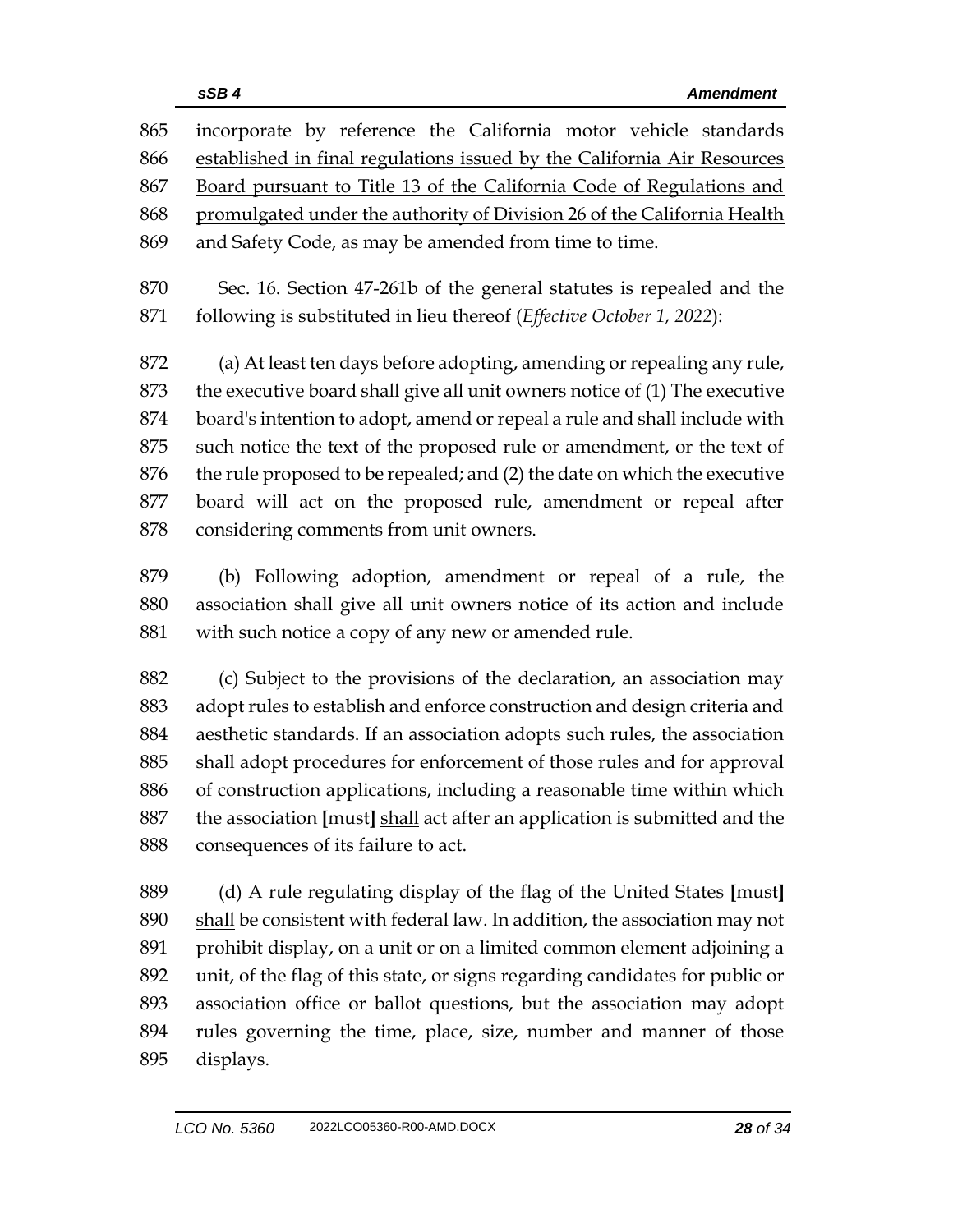| 865        | incorporate by reference the California motor vehicle standards                                                                               |  |  |  |
|------------|-----------------------------------------------------------------------------------------------------------------------------------------------|--|--|--|
| 866        | established in final regulations issued by the California Air Resources                                                                       |  |  |  |
| 867        | Board pursuant to Title 13 of the California Code of Regulations and                                                                          |  |  |  |
| 868        | promulgated under the authority of Division 26 of the California Health                                                                       |  |  |  |
| 869        | and Safety Code, as may be amended from time to time.                                                                                         |  |  |  |
| 870<br>871 | Sec. 16. Section 47-261b of the general statutes is repealed and the<br>following is substituted in lieu thereof (Effective October 1, 2022): |  |  |  |
| 872        | (a) At least ten days before adopting, amending or repealing any rule,                                                                        |  |  |  |
| 873        | the executive board shall give all unit owners notice of (1) The executive                                                                    |  |  |  |
| 874        | board's intention to adopt, amend or repeal a rule and shall include with                                                                     |  |  |  |
| 875        | such notice the text of the proposed rule or amendment, or the text of                                                                        |  |  |  |

- the rule proposed to be repealed; and (2) the date on which the executive board will act on the proposed rule, amendment or repeal after considering comments from unit owners.
- (b) Following adoption, amendment or repeal of a rule, the association shall give all unit owners notice of its action and include with such notice a copy of any new or amended rule.
- (c) Subject to the provisions of the declaration, an association may adopt rules to establish and enforce construction and design criteria and aesthetic standards. If an association adopts such rules, the association shall adopt procedures for enforcement of those rules and for approval of construction applications, including a reasonable time within which the association **[**must**]** shall act after an application is submitted and the consequences of its failure to act.
- (d) A rule regulating display of the flag of the United States **[**must**]** 890 shall be consistent with federal law. In addition, the association may not prohibit display, on a unit or on a limited common element adjoining a unit, of the flag of this state, or signs regarding candidates for public or association office or ballot questions, but the association may adopt rules governing the time, place, size, number and manner of those displays.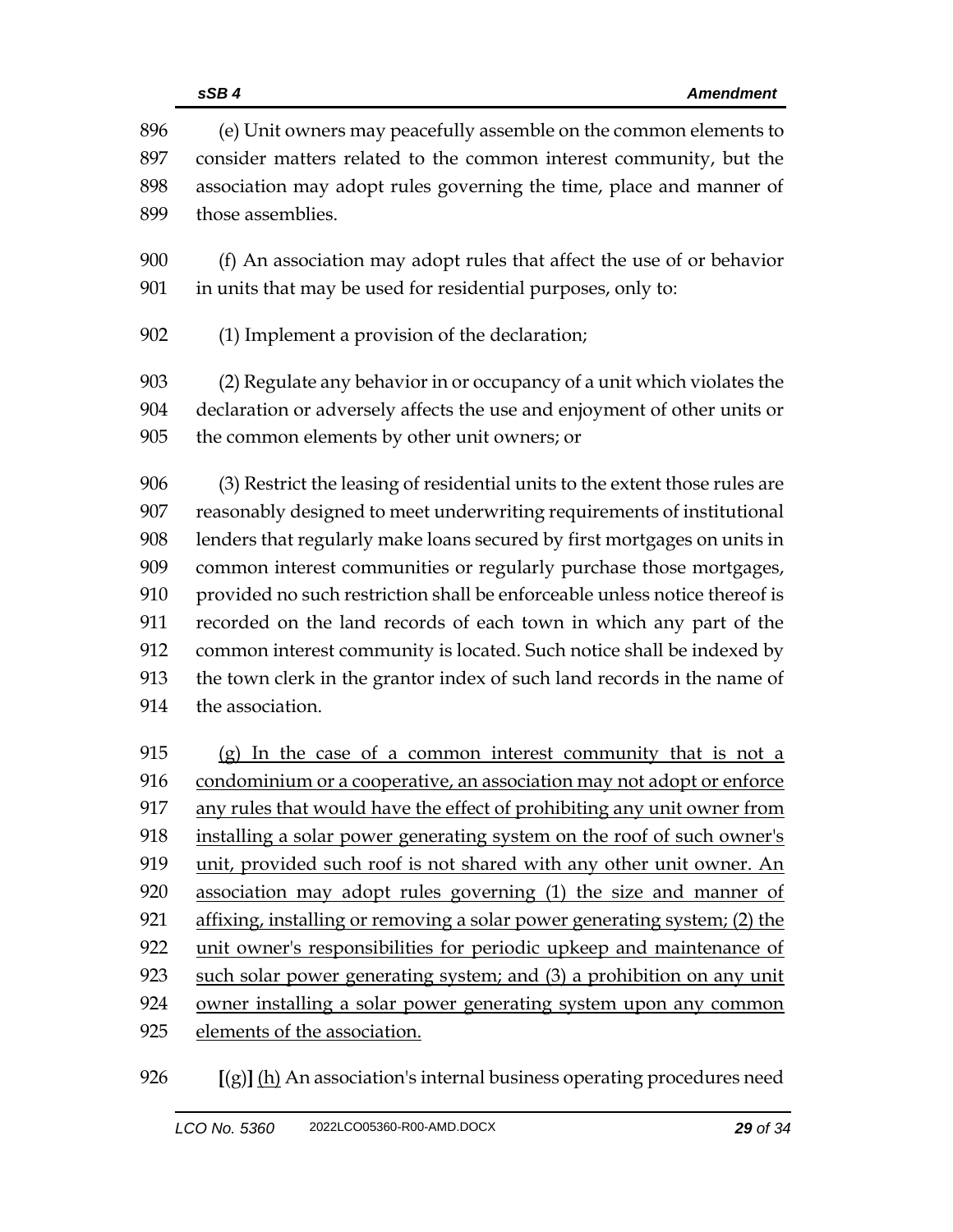|            | sSB4<br><b>Amendment</b>                                                                                                                |  |  |
|------------|-----------------------------------------------------------------------------------------------------------------------------------------|--|--|
| 896<br>897 | (e) Unit owners may peacefully assemble on the common elements to<br>consider matters related to the common interest community, but the |  |  |
| 898        | association may adopt rules governing the time, place and manner of                                                                     |  |  |
| 899        | those assemblies.                                                                                                                       |  |  |
| 900        | (f) An association may adopt rules that affect the use of or behavior                                                                   |  |  |
| 901        | in units that may be used for residential purposes, only to:                                                                            |  |  |
| 902        | (1) Implement a provision of the declaration;                                                                                           |  |  |
| 903        | (2) Regulate any behavior in or occupancy of a unit which violates the                                                                  |  |  |
| 904        | declaration or adversely affects the use and enjoyment of other units or                                                                |  |  |
| 905        | the common elements by other unit owners; or                                                                                            |  |  |
| 906        | (3) Restrict the leasing of residential units to the extent those rules are                                                             |  |  |
| 907        | reasonably designed to meet underwriting requirements of institutional                                                                  |  |  |
| 908        | lenders that regularly make loans secured by first mortgages on units in                                                                |  |  |
| 909        | common interest communities or regularly purchase those mortgages,                                                                      |  |  |
| 910        | provided no such restriction shall be enforceable unless notice thereof is                                                              |  |  |
| 911        | recorded on the land records of each town in which any part of the                                                                      |  |  |
| 912        | common interest community is located. Such notice shall be indexed by                                                                   |  |  |
| 913        | the town clerk in the grantor index of such land records in the name of                                                                 |  |  |
| 914        | the association.                                                                                                                        |  |  |
| 915        | (g) In the case of a common interest community that is not a                                                                            |  |  |
| 916        | condominium or a cooperative, an association may not adopt or enforce                                                                   |  |  |
| 917        | any rules that would have the effect of prohibiting any unit owner from                                                                 |  |  |
| 918        | installing a solar power generating system on the roof of such owner's                                                                  |  |  |
| 919        | unit, provided such roof is not shared with any other unit owner. An                                                                    |  |  |
| 920        | association may adopt rules governing (1) the size and manner of                                                                        |  |  |
| 921        | affixing, installing or removing a solar power generating system; (2) the                                                               |  |  |
| 922        | unit owner's responsibilities for periodic upkeep and maintenance of                                                                    |  |  |
| 923        | such solar power generating system; and (3) a prohibition on any unit                                                                   |  |  |
| 924        | owner installing a solar power generating system upon any common                                                                        |  |  |
| 925        | elements of the association.                                                                                                            |  |  |

**[**(g)**]** (h) An association's internal business operating procedures need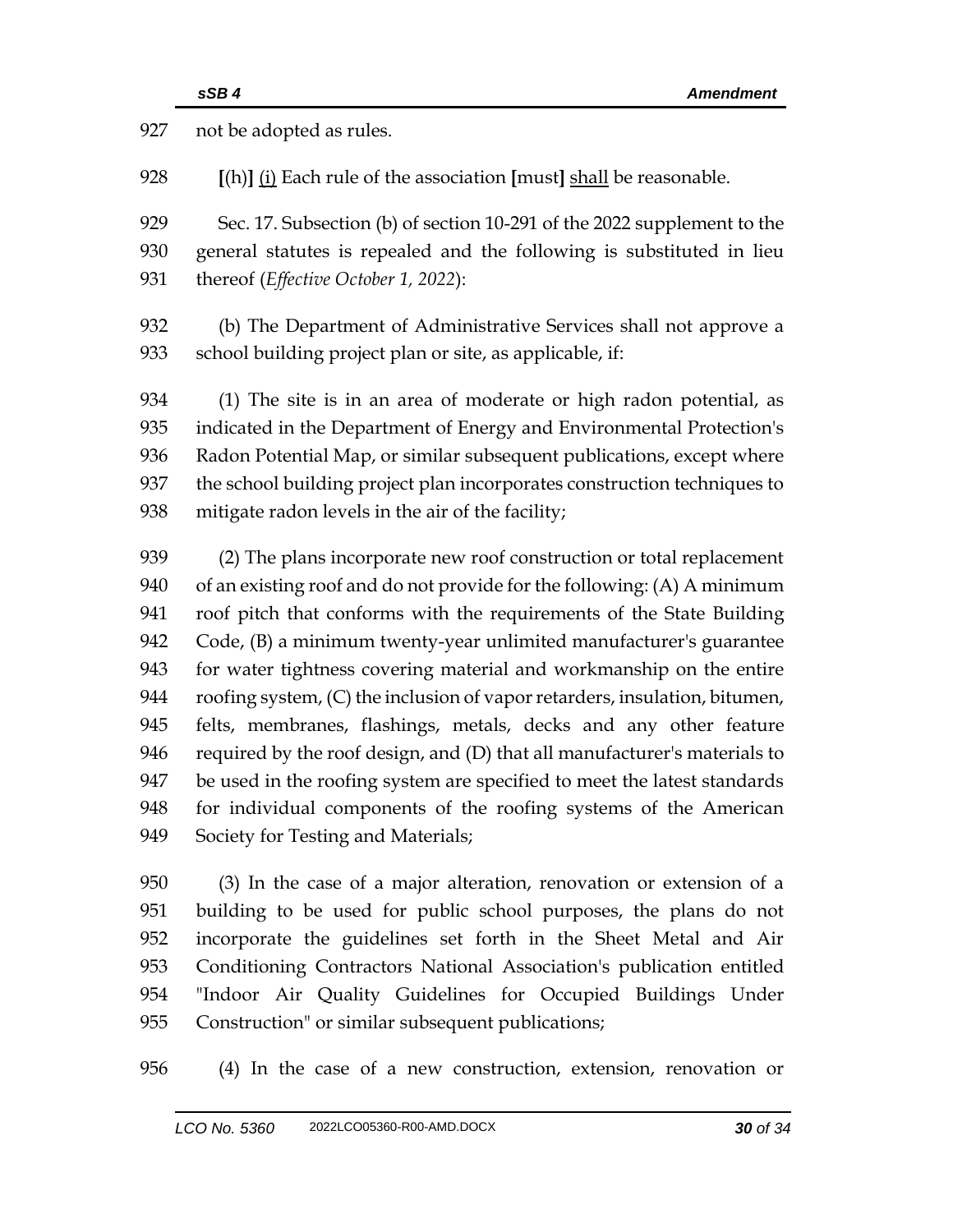| 927 | not be adopted as rules.                                                   |
|-----|----------------------------------------------------------------------------|
| 928 | $[(h)]$ (i) Each rule of the association [must] shall be reasonable.       |
| 929 | Sec. 17. Subsection (b) of section 10-291 of the 2022 supplement to the    |
| 930 | general statutes is repealed and the following is substituted in lieu      |
| 931 | thereof (Effective October 1, 2022):                                       |
| 932 | (b) The Department of Administrative Services shall not approve a          |
| 933 | school building project plan or site, as applicable, if:                   |
| 934 | (1) The site is in an area of moderate or high radon potential, as         |
| 935 | indicated in the Department of Energy and Environmental Protection's       |
| 936 | Radon Potential Map, or similar subsequent publications, except where      |
| 937 | the school building project plan incorporates construction techniques to   |
| 938 | mitigate radon levels in the air of the facility;                          |
| 939 | (2) The plans incorporate new roof construction or total replacement       |
| 940 | of an existing roof and do not provide for the following: (A) A minimum    |
| 941 | roof pitch that conforms with the requirements of the State Building       |
| 942 | Code, (B) a minimum twenty-year unlimited manufacturer's guarantee         |
| 943 | for water tightness covering material and workmanship on the entire        |
| 944 | roofing system, (C) the inclusion of vapor retarders, insulation, bitumen, |
| 945 | felts, membranes, flashings, metals, decks and any other feature           |
| 946 | required by the roof design, and (D) that all manufacturer's materials to  |
| 947 | be used in the roofing system are specified to meet the latest standards   |
| 948 | for individual components of the roofing systems of the American           |
| 949 | Society for Testing and Materials;                                         |
| 950 | (3) In the case of a major alteration, renovation or extension of a        |
| 951 | building to be used for public school purposes, the plans do not           |
| 952 | incorporate the guidelines set forth in the Sheet Metal and Air            |
| 953 | Conditioning Contractors National Association's publication entitled       |
| 954 | "Indoor Air Quality Guidelines for Occupied Buildings Under                |
| 955 | Construction" or similar subsequent publications;                          |
|     |                                                                            |

(4) In the case of a new construction, extension, renovation or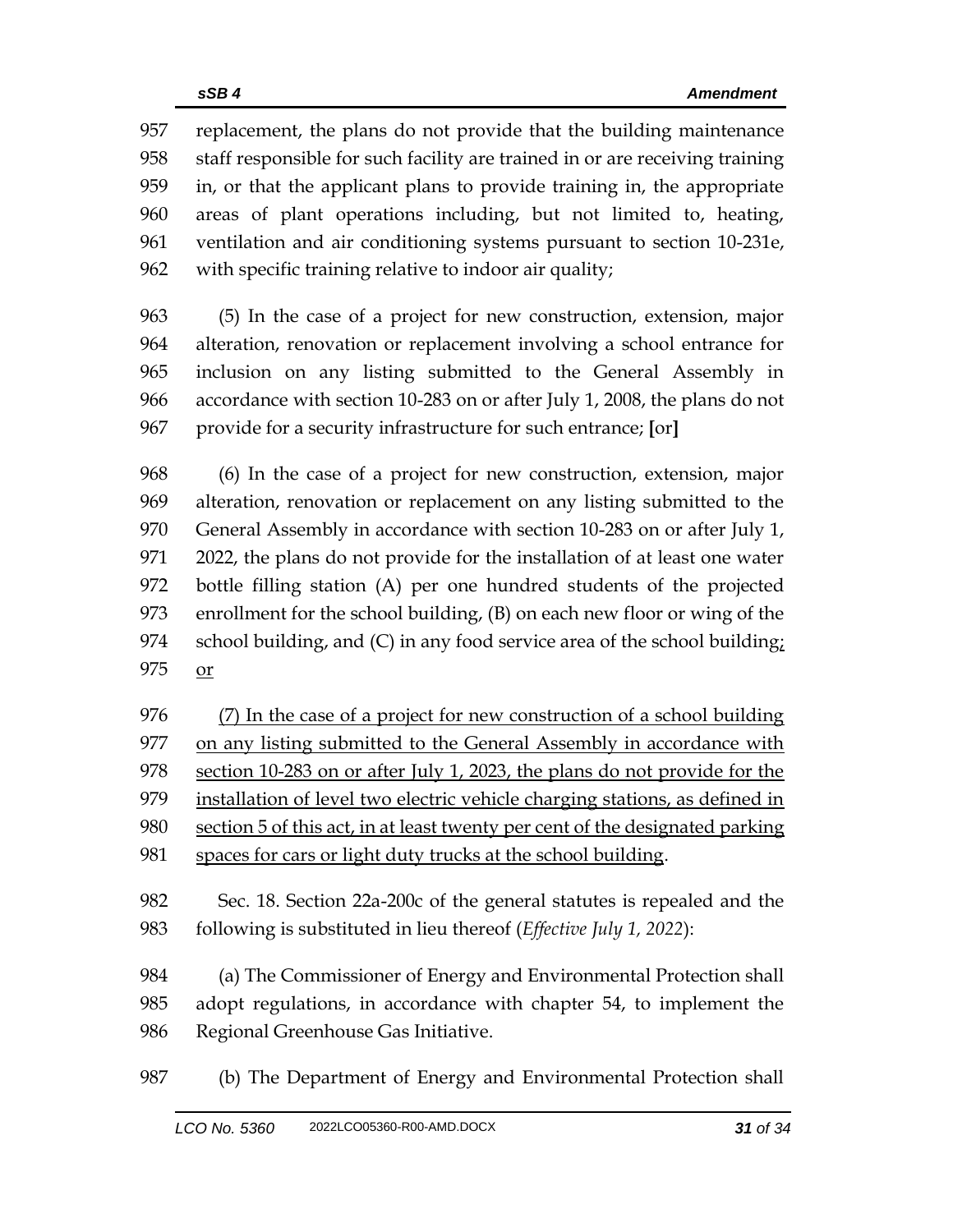replacement, the plans do not provide that the building maintenance staff responsible for such facility are trained in or are receiving training in, or that the applicant plans to provide training in, the appropriate areas of plant operations including, but not limited to, heating, ventilation and air conditioning systems pursuant to section 10-231e, with specific training relative to indoor air quality;

 (5) In the case of a project for new construction, extension, major alteration, renovation or replacement involving a school entrance for inclusion on any listing submitted to the General Assembly in accordance with section 10-283 on or after July 1, 2008, the plans do not provide for a security infrastructure for such entrance; **[**or**]**

 (6) In the case of a project for new construction, extension, major alteration, renovation or replacement on any listing submitted to the General Assembly in accordance with section 10-283 on or after July 1, 2022, the plans do not provide for the installation of at least one water bottle filling station (A) per one hundred students of the projected enrollment for the school building, (B) on each new floor or wing of the school building, and (C) in any food service area of the school building; or

 (7) In the case of a project for new construction of a school building 977 on any listing submitted to the General Assembly in accordance with section 10-283 on or after July 1, 2023, the plans do not provide for the installation of level two electric vehicle charging stations, as defined in section 5 of this act, in at least twenty per cent of the designated parking spaces for cars or light duty trucks at the school building.

 Sec. 18. Section 22a-200c of the general statutes is repealed and the following is substituted in lieu thereof (*Effective July 1, 2022*):

 (a) The Commissioner of Energy and Environmental Protection shall adopt regulations, in accordance with chapter 54, to implement the Regional Greenhouse Gas Initiative.

(b) The Department of Energy and Environmental Protection shall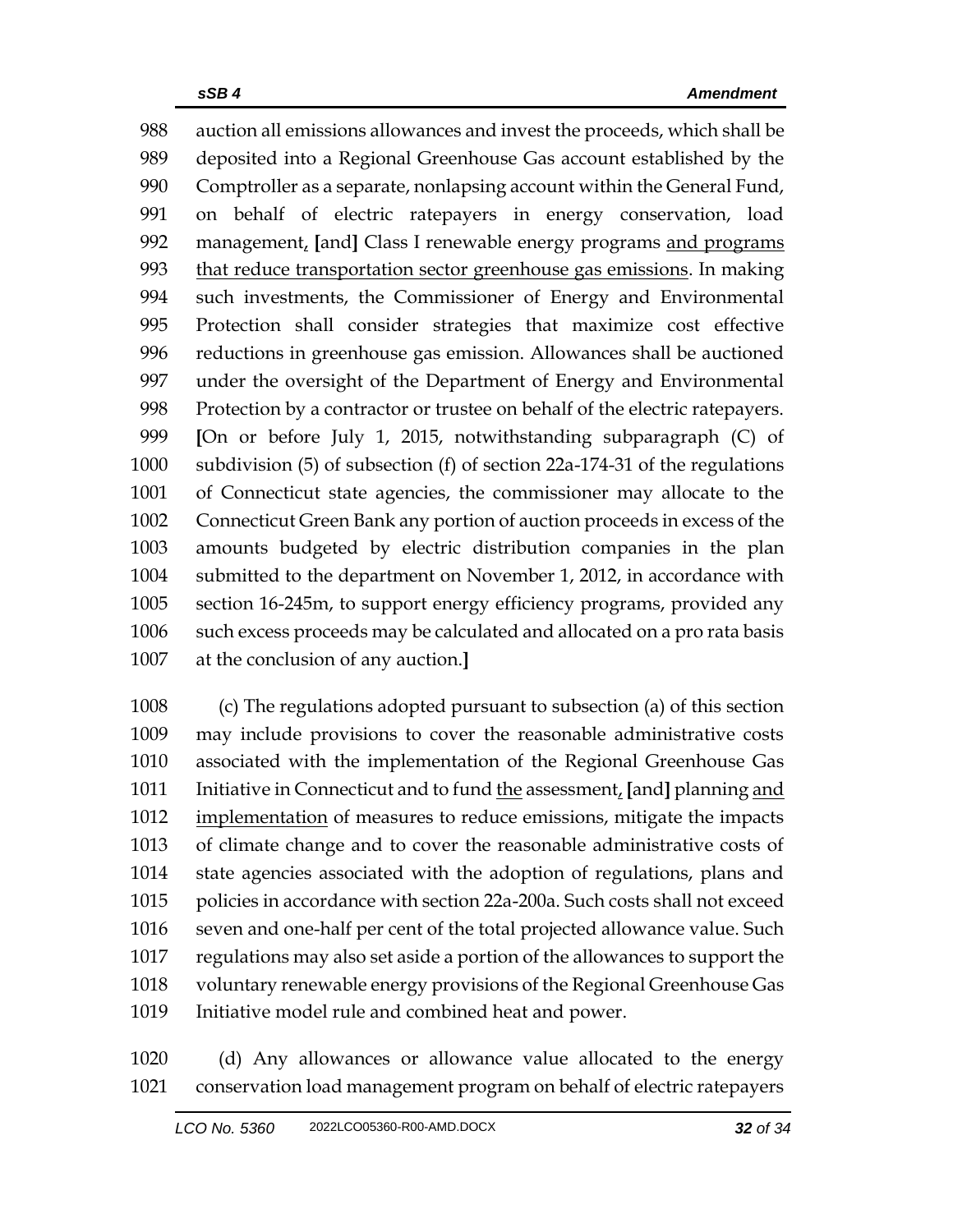auction all emissions allowances and invest the proceeds, which shall be deposited into a Regional Greenhouse Gas account established by the Comptroller as a separate, nonlapsing account within the General Fund, on behalf of electric ratepayers in energy conservation, load management, **[**and**]** Class I renewable energy programs and programs 993 that reduce transportation sector greenhouse gas emissions. In making such investments, the Commissioner of Energy and Environmental Protection shall consider strategies that maximize cost effective reductions in greenhouse gas emission. Allowances shall be auctioned under the oversight of the Department of Energy and Environmental Protection by a contractor or trustee on behalf of the electric ratepayers. **[**On or before July 1, 2015, notwithstanding subparagraph (C) of subdivision (5) of subsection (f) of section 22a-174-31 of the regulations of Connecticut state agencies, the commissioner may allocate to the Connecticut Green Bank any portion of auction proceeds in excess of the amounts budgeted by electric distribution companies in the plan submitted to the department on November 1, 2012, in accordance with section 16-245m, to support energy efficiency programs, provided any such excess proceeds may be calculated and allocated on a pro rata basis at the conclusion of any auction.**]**

 (c) The regulations adopted pursuant to subsection (a) of this section may include provisions to cover the reasonable administrative costs associated with the implementation of the Regional Greenhouse Gas Initiative in Connecticut and to fund the assessment, **[**and**]** planning and 1012 implementation of measures to reduce emissions, mitigate the impacts of climate change and to cover the reasonable administrative costs of state agencies associated with the adoption of regulations, plans and policies in accordance with section 22a-200a. Such costs shall not exceed seven and one-half per cent of the total projected allowance value. Such regulations may also set aside a portion of the allowances to support the voluntary renewable energy provisions of the Regional Greenhouse Gas Initiative model rule and combined heat and power.

 (d) Any allowances or allowance value allocated to the energy conservation load management program on behalf of electric ratepayers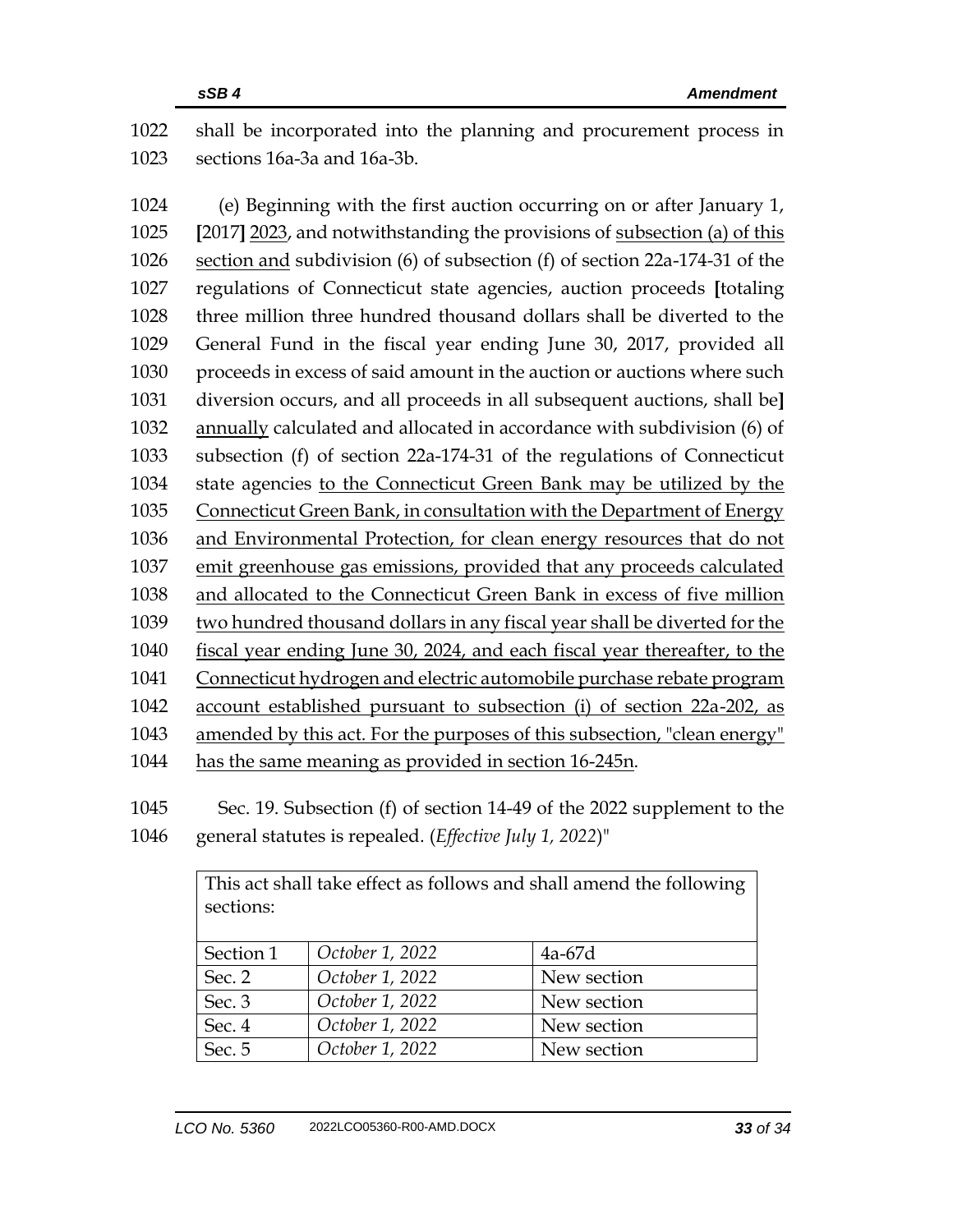shall be incorporated into the planning and procurement process in sections 16a-3a and 16a-3b.

 (e) Beginning with the first auction occurring on or after January 1, **[**2017**]** 2023, and notwithstanding the provisions of subsection (a) of this section and subdivision (6) of subsection (f) of section 22a-174-31 of the regulations of Connecticut state agencies, auction proceeds **[**totaling three million three hundred thousand dollars shall be diverted to the General Fund in the fiscal year ending June 30, 2017, provided all proceeds in excess of said amount in the auction or auctions where such diversion occurs, and all proceeds in all subsequent auctions, shall be**]** annually calculated and allocated in accordance with subdivision (6) of subsection (f) of section 22a-174-31 of the regulations of Connecticut state agencies to the Connecticut Green Bank may be utilized by the Connecticut Green Bank, in consultation with the Department of Energy and Environmental Protection, for clean energy resources that do not emit greenhouse gas emissions, provided that any proceeds calculated and allocated to the Connecticut Green Bank in excess of five million two hundred thousand dollars in any fiscal year shall be diverted for the fiscal year ending June 30, 2024, and each fiscal year thereafter, to the Connecticut hydrogen and electric automobile purchase rebate program account established pursuant to subsection (i) of section 22a-202, as amended by this act. For the purposes of this subsection, "clean energy" has the same meaning as provided in section 16-245n.

 Sec. 19. Subsection (f) of section 14-49 of the 2022 supplement to the general statutes is repealed. (*Effective July 1, 2022*)"

| This act shall take effect as follows and shall amend the following<br>sections: |                 |             |
|----------------------------------------------------------------------------------|-----------------|-------------|
| Section 1                                                                        | October 1, 2022 | $4a-67d$    |
| Sec. 2                                                                           | October 1, 2022 | New section |
| Sec. 3                                                                           | October 1, 2022 | New section |
| Sec. 4                                                                           | October 1, 2022 | New section |
| Sec. 5                                                                           | October 1, 2022 | New section |